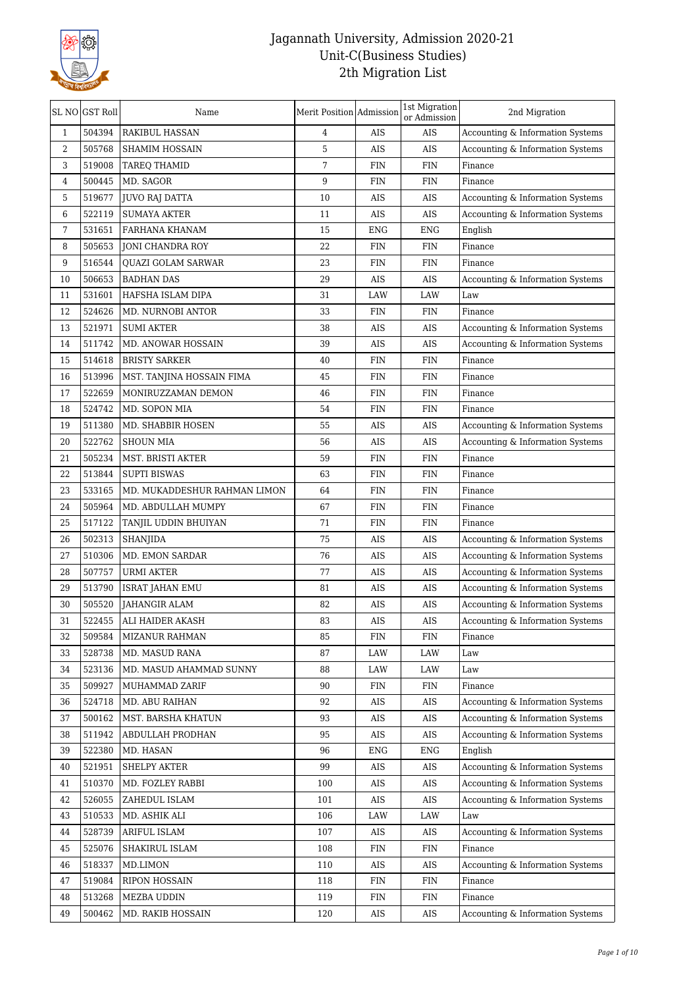

| 504394<br><b>RAKIBUL HASSAN</b><br>AIS<br>Accounting & Information Systems<br>$\mathbf{1}$<br>4<br>AIS<br>5<br>2<br>505768<br><b>SHAMIM HOSSAIN</b><br>AIS<br>AIS<br>Accounting & Information Systems<br>7<br>3<br>519008<br>FIN<br>TAREQ THAMID<br>FIN<br>Finance<br>500445<br>9<br>4<br>MD. SAGOR<br><b>FIN</b><br><b>FIN</b><br>Finance<br>519677<br>5<br><b>JUVO RAJ DATTA</b><br>10<br>AIS<br>AIS<br>Accounting & Information Systems<br>6<br>522119<br><b>SUMAYA AKTER</b><br>11<br>AIS<br>AIS<br>Accounting & Information Systems<br>531651<br>7<br>FARHANA KHANAM<br>15<br><b>ENG</b><br><b>ENG</b><br>English<br>505653<br>8<br><b>JONI CHANDRA ROY</b><br>22<br><b>FIN</b><br><b>FIN</b><br>Finance<br>516544<br>9<br><b>OUAZI GOLAM SARWAR</b><br>23<br>FIN<br><b>FIN</b><br>Finance<br>10<br>506653<br><b>BADHAN DAS</b><br>29<br>AIS<br>AIS<br>Accounting & Information Systems<br>11<br>531601<br>HAFSHA ISLAM DIPA<br>31<br>LAW<br>LAW<br>Law<br>12<br>524626<br>MD. NURNOBI ANTOR<br>33<br>FIN<br>FIN<br>Finance<br>521971<br>13<br><b>SUMI AKTER</b><br>38<br>AIS<br>AIS<br>Accounting & Information Systems<br>511742<br>14<br>MD. ANOWAR HOSSAIN<br>39<br>AIS<br>AIS<br>Accounting & Information Systems<br>514618<br><b>BRISTY SARKER</b><br>15<br>40<br>FIN<br>FIN<br>Finance<br>513996<br>MST. TANJINA HOSSAIN FIMA<br><b>FIN</b><br><b>FIN</b><br>Finance<br>16<br>45<br>17<br>522659<br>MONIRUZZAMAN DEMON<br><b>FIN</b><br><b>FIN</b><br>Finance<br>46<br>18<br>524742<br><b>FIN</b><br>FIN<br>MD. SOPON MIA<br>54<br>Finance<br>19<br>511380<br>55<br>AIS<br>AIS<br>Accounting & Information Systems<br>MD. SHABBIR HOSEN<br>522762<br>20<br><b>SHOUN MIA</b><br>AIS<br>AIS<br>Accounting & Information Systems<br>56<br>21<br>505234<br>MST. BRISTI AKTER<br>59<br><b>FIN</b><br><b>FIN</b><br>Finance<br>22<br>513844<br><b>SUPTI BISWAS</b><br>63<br><b>FIN</b><br><b>FIN</b><br>Finance<br>23<br>533165<br>MD. MUKADDESHUR RAHMAN LIMON<br><b>FIN</b><br><b>FIN</b><br>64<br>Finance<br>505964<br>24<br>67<br><b>FIN</b><br>MD. ABDULLAH MUMPY<br><b>FIN</b><br>Finance<br>25<br>517122<br><b>FIN</b><br>FIN<br>TANJIL UDDIN BHUIYAN<br>71<br>Finance<br>502313<br>26<br><b>SHANJIDA</b><br>75<br>AIS<br>AIS<br>Accounting & Information Systems<br>510306<br>Accounting & Information Systems<br>27<br>MD. EMON SARDAR<br>76<br>AIS<br>AIS<br>507757<br>77<br>AIS<br>AIS<br>Accounting & Information Systems<br>28<br><b>URMI AKTER</b><br>29<br>513790<br>AIS<br>AIS<br>Accounting & Information Systems<br><b>ISRAT JAHAN EMU</b><br>81<br>30<br>505520<br><b>JAHANGIR ALAM</b><br>82<br>AIS<br>AIS<br>Accounting & Information Systems<br>522455<br>31<br>83<br>AIS<br>AIS<br>ALI HAIDER AKASH<br>Accounting & Information Systems<br>509584<br>32<br>MIZANUR RAHMAN<br>85<br>FIN<br>FIN<br>Finance<br>33<br>528738<br>MD. MASUD RANA<br>LAW<br>LAW<br>87<br>Law<br>523136<br>MD. MASUD AHAMMAD SUNNY<br>88<br>LAW<br>LAW<br>34<br>Law<br>509927<br>FIN<br>35<br>MUHAMMAD ZARIF<br>90<br>FIN<br>Finance<br>524718<br>MD. ABU RAIHAN<br>AIS<br>AIS<br>Accounting & Information Systems<br>36<br>92<br>500162<br>MST. BARSHA KHATUN<br>93<br>AIS<br>AIS<br>Accounting & Information Systems<br>37<br>511942<br>ABDULLAH PRODHAN<br>AIS<br>AIS<br>Accounting & Information Systems<br>38<br>95<br>522380<br>39<br>MD. HASAN<br>96<br><b>ENG</b><br><b>ENG</b><br>English<br>521951<br><b>SHELPY AKTER</b><br>Accounting & Information Systems<br>40<br>99<br>AIS<br>AIS<br>510370<br>MD. FOZLEY RABBI<br>100<br>AIS<br>AIS<br>Accounting & Information Systems<br>41<br>526055<br>42<br>ZAHEDUL ISLAM<br>101<br>AIS<br>AIS<br>Accounting & Information Systems<br>510533<br>106<br>43<br>MD. ASHIK ALI<br>LAW<br>LAW<br>Law<br>528739<br>ARIFUL ISLAM<br>107<br>AIS<br>AIS<br>Accounting & Information Systems<br>44<br>525076<br>SHAKIRUL ISLAM<br>108<br>${\rm FIN}$<br>FIN<br>45<br>Finance<br>518337<br>46<br>MD.LIMON<br>110<br>AIS<br>AIS<br>Accounting & Information Systems<br>519084<br>47<br>RIPON HOSSAIN<br>118<br>FIN<br>FIN<br>Finance<br>513268<br>MEZBA UDDIN<br>FIN<br>Finance<br>48<br>119<br>FIN<br>49<br>500462<br>120<br>AIS<br>AIS<br>Accounting & Information Systems<br>MD. RAKIB HOSSAIN | SL NO GST Roll | Name | Merit Position Admission | 1st Migration<br>or Admission | 2nd Migration |
|--------------------------------------------------------------------------------------------------------------------------------------------------------------------------------------------------------------------------------------------------------------------------------------------------------------------------------------------------------------------------------------------------------------------------------------------------------------------------------------------------------------------------------------------------------------------------------------------------------------------------------------------------------------------------------------------------------------------------------------------------------------------------------------------------------------------------------------------------------------------------------------------------------------------------------------------------------------------------------------------------------------------------------------------------------------------------------------------------------------------------------------------------------------------------------------------------------------------------------------------------------------------------------------------------------------------------------------------------------------------------------------------------------------------------------------------------------------------------------------------------------------------------------------------------------------------------------------------------------------------------------------------------------------------------------------------------------------------------------------------------------------------------------------------------------------------------------------------------------------------------------------------------------------------------------------------------------------------------------------------------------------------------------------------------------------------------------------------------------------------------------------------------------------------------------------------------------------------------------------------------------------------------------------------------------------------------------------------------------------------------------------------------------------------------------------------------------------------------------------------------------------------------------------------------------------------------------------------------------------------------------------------------------------------------------------------------------------------------------------------------------------------------------------------------------------------------------------------------------------------------------------------------------------------------------------------------------------------------------------------------------------------------------------------------------------------------------------------------------------------------------------------------------------------------------------------------------------------------------------------------------------------------------------------------------------------------------------------------------------------------------------------------------------------------------------------------------------------------------------------------------------------------------------------------------------------------------------------------------------------------------------------------------------------------------------------------------------------------------------------------------------------------------------------------------------------------------------------------------------------------------------------------------------------------------------------------------------------------------------------------------------------------------------------------------------------------------------------------------------------------------------------------------------------------------------------------------------------------------------------------|----------------|------|--------------------------|-------------------------------|---------------|
|                                                                                                                                                                                                                                                                                                                                                                                                                                                                                                                                                                                                                                                                                                                                                                                                                                                                                                                                                                                                                                                                                                                                                                                                                                                                                                                                                                                                                                                                                                                                                                                                                                                                                                                                                                                                                                                                                                                                                                                                                                                                                                                                                                                                                                                                                                                                                                                                                                                                                                                                                                                                                                                                                                                                                                                                                                                                                                                                                                                                                                                                                                                                                                                                                                                                                                                                                                                                                                                                                                                                                                                                                                                                                                                                                                                                                                                                                                                                                                                                                                                                                                                                                                                                                                                  |                |      |                          |                               |               |
|                                                                                                                                                                                                                                                                                                                                                                                                                                                                                                                                                                                                                                                                                                                                                                                                                                                                                                                                                                                                                                                                                                                                                                                                                                                                                                                                                                                                                                                                                                                                                                                                                                                                                                                                                                                                                                                                                                                                                                                                                                                                                                                                                                                                                                                                                                                                                                                                                                                                                                                                                                                                                                                                                                                                                                                                                                                                                                                                                                                                                                                                                                                                                                                                                                                                                                                                                                                                                                                                                                                                                                                                                                                                                                                                                                                                                                                                                                                                                                                                                                                                                                                                                                                                                                                  |                |      |                          |                               |               |
|                                                                                                                                                                                                                                                                                                                                                                                                                                                                                                                                                                                                                                                                                                                                                                                                                                                                                                                                                                                                                                                                                                                                                                                                                                                                                                                                                                                                                                                                                                                                                                                                                                                                                                                                                                                                                                                                                                                                                                                                                                                                                                                                                                                                                                                                                                                                                                                                                                                                                                                                                                                                                                                                                                                                                                                                                                                                                                                                                                                                                                                                                                                                                                                                                                                                                                                                                                                                                                                                                                                                                                                                                                                                                                                                                                                                                                                                                                                                                                                                                                                                                                                                                                                                                                                  |                |      |                          |                               |               |
|                                                                                                                                                                                                                                                                                                                                                                                                                                                                                                                                                                                                                                                                                                                                                                                                                                                                                                                                                                                                                                                                                                                                                                                                                                                                                                                                                                                                                                                                                                                                                                                                                                                                                                                                                                                                                                                                                                                                                                                                                                                                                                                                                                                                                                                                                                                                                                                                                                                                                                                                                                                                                                                                                                                                                                                                                                                                                                                                                                                                                                                                                                                                                                                                                                                                                                                                                                                                                                                                                                                                                                                                                                                                                                                                                                                                                                                                                                                                                                                                                                                                                                                                                                                                                                                  |                |      |                          |                               |               |
|                                                                                                                                                                                                                                                                                                                                                                                                                                                                                                                                                                                                                                                                                                                                                                                                                                                                                                                                                                                                                                                                                                                                                                                                                                                                                                                                                                                                                                                                                                                                                                                                                                                                                                                                                                                                                                                                                                                                                                                                                                                                                                                                                                                                                                                                                                                                                                                                                                                                                                                                                                                                                                                                                                                                                                                                                                                                                                                                                                                                                                                                                                                                                                                                                                                                                                                                                                                                                                                                                                                                                                                                                                                                                                                                                                                                                                                                                                                                                                                                                                                                                                                                                                                                                                                  |                |      |                          |                               |               |
|                                                                                                                                                                                                                                                                                                                                                                                                                                                                                                                                                                                                                                                                                                                                                                                                                                                                                                                                                                                                                                                                                                                                                                                                                                                                                                                                                                                                                                                                                                                                                                                                                                                                                                                                                                                                                                                                                                                                                                                                                                                                                                                                                                                                                                                                                                                                                                                                                                                                                                                                                                                                                                                                                                                                                                                                                                                                                                                                                                                                                                                                                                                                                                                                                                                                                                                                                                                                                                                                                                                                                                                                                                                                                                                                                                                                                                                                                                                                                                                                                                                                                                                                                                                                                                                  |                |      |                          |                               |               |
|                                                                                                                                                                                                                                                                                                                                                                                                                                                                                                                                                                                                                                                                                                                                                                                                                                                                                                                                                                                                                                                                                                                                                                                                                                                                                                                                                                                                                                                                                                                                                                                                                                                                                                                                                                                                                                                                                                                                                                                                                                                                                                                                                                                                                                                                                                                                                                                                                                                                                                                                                                                                                                                                                                                                                                                                                                                                                                                                                                                                                                                                                                                                                                                                                                                                                                                                                                                                                                                                                                                                                                                                                                                                                                                                                                                                                                                                                                                                                                                                                                                                                                                                                                                                                                                  |                |      |                          |                               |               |
|                                                                                                                                                                                                                                                                                                                                                                                                                                                                                                                                                                                                                                                                                                                                                                                                                                                                                                                                                                                                                                                                                                                                                                                                                                                                                                                                                                                                                                                                                                                                                                                                                                                                                                                                                                                                                                                                                                                                                                                                                                                                                                                                                                                                                                                                                                                                                                                                                                                                                                                                                                                                                                                                                                                                                                                                                                                                                                                                                                                                                                                                                                                                                                                                                                                                                                                                                                                                                                                                                                                                                                                                                                                                                                                                                                                                                                                                                                                                                                                                                                                                                                                                                                                                                                                  |                |      |                          |                               |               |
|                                                                                                                                                                                                                                                                                                                                                                                                                                                                                                                                                                                                                                                                                                                                                                                                                                                                                                                                                                                                                                                                                                                                                                                                                                                                                                                                                                                                                                                                                                                                                                                                                                                                                                                                                                                                                                                                                                                                                                                                                                                                                                                                                                                                                                                                                                                                                                                                                                                                                                                                                                                                                                                                                                                                                                                                                                                                                                                                                                                                                                                                                                                                                                                                                                                                                                                                                                                                                                                                                                                                                                                                                                                                                                                                                                                                                                                                                                                                                                                                                                                                                                                                                                                                                                                  |                |      |                          |                               |               |
|                                                                                                                                                                                                                                                                                                                                                                                                                                                                                                                                                                                                                                                                                                                                                                                                                                                                                                                                                                                                                                                                                                                                                                                                                                                                                                                                                                                                                                                                                                                                                                                                                                                                                                                                                                                                                                                                                                                                                                                                                                                                                                                                                                                                                                                                                                                                                                                                                                                                                                                                                                                                                                                                                                                                                                                                                                                                                                                                                                                                                                                                                                                                                                                                                                                                                                                                                                                                                                                                                                                                                                                                                                                                                                                                                                                                                                                                                                                                                                                                                                                                                                                                                                                                                                                  |                |      |                          |                               |               |
|                                                                                                                                                                                                                                                                                                                                                                                                                                                                                                                                                                                                                                                                                                                                                                                                                                                                                                                                                                                                                                                                                                                                                                                                                                                                                                                                                                                                                                                                                                                                                                                                                                                                                                                                                                                                                                                                                                                                                                                                                                                                                                                                                                                                                                                                                                                                                                                                                                                                                                                                                                                                                                                                                                                                                                                                                                                                                                                                                                                                                                                                                                                                                                                                                                                                                                                                                                                                                                                                                                                                                                                                                                                                                                                                                                                                                                                                                                                                                                                                                                                                                                                                                                                                                                                  |                |      |                          |                               |               |
|                                                                                                                                                                                                                                                                                                                                                                                                                                                                                                                                                                                                                                                                                                                                                                                                                                                                                                                                                                                                                                                                                                                                                                                                                                                                                                                                                                                                                                                                                                                                                                                                                                                                                                                                                                                                                                                                                                                                                                                                                                                                                                                                                                                                                                                                                                                                                                                                                                                                                                                                                                                                                                                                                                                                                                                                                                                                                                                                                                                                                                                                                                                                                                                                                                                                                                                                                                                                                                                                                                                                                                                                                                                                                                                                                                                                                                                                                                                                                                                                                                                                                                                                                                                                                                                  |                |      |                          |                               |               |
|                                                                                                                                                                                                                                                                                                                                                                                                                                                                                                                                                                                                                                                                                                                                                                                                                                                                                                                                                                                                                                                                                                                                                                                                                                                                                                                                                                                                                                                                                                                                                                                                                                                                                                                                                                                                                                                                                                                                                                                                                                                                                                                                                                                                                                                                                                                                                                                                                                                                                                                                                                                                                                                                                                                                                                                                                                                                                                                                                                                                                                                                                                                                                                                                                                                                                                                                                                                                                                                                                                                                                                                                                                                                                                                                                                                                                                                                                                                                                                                                                                                                                                                                                                                                                                                  |                |      |                          |                               |               |
|                                                                                                                                                                                                                                                                                                                                                                                                                                                                                                                                                                                                                                                                                                                                                                                                                                                                                                                                                                                                                                                                                                                                                                                                                                                                                                                                                                                                                                                                                                                                                                                                                                                                                                                                                                                                                                                                                                                                                                                                                                                                                                                                                                                                                                                                                                                                                                                                                                                                                                                                                                                                                                                                                                                                                                                                                                                                                                                                                                                                                                                                                                                                                                                                                                                                                                                                                                                                                                                                                                                                                                                                                                                                                                                                                                                                                                                                                                                                                                                                                                                                                                                                                                                                                                                  |                |      |                          |                               |               |
|                                                                                                                                                                                                                                                                                                                                                                                                                                                                                                                                                                                                                                                                                                                                                                                                                                                                                                                                                                                                                                                                                                                                                                                                                                                                                                                                                                                                                                                                                                                                                                                                                                                                                                                                                                                                                                                                                                                                                                                                                                                                                                                                                                                                                                                                                                                                                                                                                                                                                                                                                                                                                                                                                                                                                                                                                                                                                                                                                                                                                                                                                                                                                                                                                                                                                                                                                                                                                                                                                                                                                                                                                                                                                                                                                                                                                                                                                                                                                                                                                                                                                                                                                                                                                                                  |                |      |                          |                               |               |
|                                                                                                                                                                                                                                                                                                                                                                                                                                                                                                                                                                                                                                                                                                                                                                                                                                                                                                                                                                                                                                                                                                                                                                                                                                                                                                                                                                                                                                                                                                                                                                                                                                                                                                                                                                                                                                                                                                                                                                                                                                                                                                                                                                                                                                                                                                                                                                                                                                                                                                                                                                                                                                                                                                                                                                                                                                                                                                                                                                                                                                                                                                                                                                                                                                                                                                                                                                                                                                                                                                                                                                                                                                                                                                                                                                                                                                                                                                                                                                                                                                                                                                                                                                                                                                                  |                |      |                          |                               |               |
|                                                                                                                                                                                                                                                                                                                                                                                                                                                                                                                                                                                                                                                                                                                                                                                                                                                                                                                                                                                                                                                                                                                                                                                                                                                                                                                                                                                                                                                                                                                                                                                                                                                                                                                                                                                                                                                                                                                                                                                                                                                                                                                                                                                                                                                                                                                                                                                                                                                                                                                                                                                                                                                                                                                                                                                                                                                                                                                                                                                                                                                                                                                                                                                                                                                                                                                                                                                                                                                                                                                                                                                                                                                                                                                                                                                                                                                                                                                                                                                                                                                                                                                                                                                                                                                  |                |      |                          |                               |               |
|                                                                                                                                                                                                                                                                                                                                                                                                                                                                                                                                                                                                                                                                                                                                                                                                                                                                                                                                                                                                                                                                                                                                                                                                                                                                                                                                                                                                                                                                                                                                                                                                                                                                                                                                                                                                                                                                                                                                                                                                                                                                                                                                                                                                                                                                                                                                                                                                                                                                                                                                                                                                                                                                                                                                                                                                                                                                                                                                                                                                                                                                                                                                                                                                                                                                                                                                                                                                                                                                                                                                                                                                                                                                                                                                                                                                                                                                                                                                                                                                                                                                                                                                                                                                                                                  |                |      |                          |                               |               |
|                                                                                                                                                                                                                                                                                                                                                                                                                                                                                                                                                                                                                                                                                                                                                                                                                                                                                                                                                                                                                                                                                                                                                                                                                                                                                                                                                                                                                                                                                                                                                                                                                                                                                                                                                                                                                                                                                                                                                                                                                                                                                                                                                                                                                                                                                                                                                                                                                                                                                                                                                                                                                                                                                                                                                                                                                                                                                                                                                                                                                                                                                                                                                                                                                                                                                                                                                                                                                                                                                                                                                                                                                                                                                                                                                                                                                                                                                                                                                                                                                                                                                                                                                                                                                                                  |                |      |                          |                               |               |
|                                                                                                                                                                                                                                                                                                                                                                                                                                                                                                                                                                                                                                                                                                                                                                                                                                                                                                                                                                                                                                                                                                                                                                                                                                                                                                                                                                                                                                                                                                                                                                                                                                                                                                                                                                                                                                                                                                                                                                                                                                                                                                                                                                                                                                                                                                                                                                                                                                                                                                                                                                                                                                                                                                                                                                                                                                                                                                                                                                                                                                                                                                                                                                                                                                                                                                                                                                                                                                                                                                                                                                                                                                                                                                                                                                                                                                                                                                                                                                                                                                                                                                                                                                                                                                                  |                |      |                          |                               |               |
|                                                                                                                                                                                                                                                                                                                                                                                                                                                                                                                                                                                                                                                                                                                                                                                                                                                                                                                                                                                                                                                                                                                                                                                                                                                                                                                                                                                                                                                                                                                                                                                                                                                                                                                                                                                                                                                                                                                                                                                                                                                                                                                                                                                                                                                                                                                                                                                                                                                                                                                                                                                                                                                                                                                                                                                                                                                                                                                                                                                                                                                                                                                                                                                                                                                                                                                                                                                                                                                                                                                                                                                                                                                                                                                                                                                                                                                                                                                                                                                                                                                                                                                                                                                                                                                  |                |      |                          |                               |               |
|                                                                                                                                                                                                                                                                                                                                                                                                                                                                                                                                                                                                                                                                                                                                                                                                                                                                                                                                                                                                                                                                                                                                                                                                                                                                                                                                                                                                                                                                                                                                                                                                                                                                                                                                                                                                                                                                                                                                                                                                                                                                                                                                                                                                                                                                                                                                                                                                                                                                                                                                                                                                                                                                                                                                                                                                                                                                                                                                                                                                                                                                                                                                                                                                                                                                                                                                                                                                                                                                                                                                                                                                                                                                                                                                                                                                                                                                                                                                                                                                                                                                                                                                                                                                                                                  |                |      |                          |                               |               |
|                                                                                                                                                                                                                                                                                                                                                                                                                                                                                                                                                                                                                                                                                                                                                                                                                                                                                                                                                                                                                                                                                                                                                                                                                                                                                                                                                                                                                                                                                                                                                                                                                                                                                                                                                                                                                                                                                                                                                                                                                                                                                                                                                                                                                                                                                                                                                                                                                                                                                                                                                                                                                                                                                                                                                                                                                                                                                                                                                                                                                                                                                                                                                                                                                                                                                                                                                                                                                                                                                                                                                                                                                                                                                                                                                                                                                                                                                                                                                                                                                                                                                                                                                                                                                                                  |                |      |                          |                               |               |
|                                                                                                                                                                                                                                                                                                                                                                                                                                                                                                                                                                                                                                                                                                                                                                                                                                                                                                                                                                                                                                                                                                                                                                                                                                                                                                                                                                                                                                                                                                                                                                                                                                                                                                                                                                                                                                                                                                                                                                                                                                                                                                                                                                                                                                                                                                                                                                                                                                                                                                                                                                                                                                                                                                                                                                                                                                                                                                                                                                                                                                                                                                                                                                                                                                                                                                                                                                                                                                                                                                                                                                                                                                                                                                                                                                                                                                                                                                                                                                                                                                                                                                                                                                                                                                                  |                |      |                          |                               |               |
|                                                                                                                                                                                                                                                                                                                                                                                                                                                                                                                                                                                                                                                                                                                                                                                                                                                                                                                                                                                                                                                                                                                                                                                                                                                                                                                                                                                                                                                                                                                                                                                                                                                                                                                                                                                                                                                                                                                                                                                                                                                                                                                                                                                                                                                                                                                                                                                                                                                                                                                                                                                                                                                                                                                                                                                                                                                                                                                                                                                                                                                                                                                                                                                                                                                                                                                                                                                                                                                                                                                                                                                                                                                                                                                                                                                                                                                                                                                                                                                                                                                                                                                                                                                                                                                  |                |      |                          |                               |               |
|                                                                                                                                                                                                                                                                                                                                                                                                                                                                                                                                                                                                                                                                                                                                                                                                                                                                                                                                                                                                                                                                                                                                                                                                                                                                                                                                                                                                                                                                                                                                                                                                                                                                                                                                                                                                                                                                                                                                                                                                                                                                                                                                                                                                                                                                                                                                                                                                                                                                                                                                                                                                                                                                                                                                                                                                                                                                                                                                                                                                                                                                                                                                                                                                                                                                                                                                                                                                                                                                                                                                                                                                                                                                                                                                                                                                                                                                                                                                                                                                                                                                                                                                                                                                                                                  |                |      |                          |                               |               |
|                                                                                                                                                                                                                                                                                                                                                                                                                                                                                                                                                                                                                                                                                                                                                                                                                                                                                                                                                                                                                                                                                                                                                                                                                                                                                                                                                                                                                                                                                                                                                                                                                                                                                                                                                                                                                                                                                                                                                                                                                                                                                                                                                                                                                                                                                                                                                                                                                                                                                                                                                                                                                                                                                                                                                                                                                                                                                                                                                                                                                                                                                                                                                                                                                                                                                                                                                                                                                                                                                                                                                                                                                                                                                                                                                                                                                                                                                                                                                                                                                                                                                                                                                                                                                                                  |                |      |                          |                               |               |
|                                                                                                                                                                                                                                                                                                                                                                                                                                                                                                                                                                                                                                                                                                                                                                                                                                                                                                                                                                                                                                                                                                                                                                                                                                                                                                                                                                                                                                                                                                                                                                                                                                                                                                                                                                                                                                                                                                                                                                                                                                                                                                                                                                                                                                                                                                                                                                                                                                                                                                                                                                                                                                                                                                                                                                                                                                                                                                                                                                                                                                                                                                                                                                                                                                                                                                                                                                                                                                                                                                                                                                                                                                                                                                                                                                                                                                                                                                                                                                                                                                                                                                                                                                                                                                                  |                |      |                          |                               |               |
|                                                                                                                                                                                                                                                                                                                                                                                                                                                                                                                                                                                                                                                                                                                                                                                                                                                                                                                                                                                                                                                                                                                                                                                                                                                                                                                                                                                                                                                                                                                                                                                                                                                                                                                                                                                                                                                                                                                                                                                                                                                                                                                                                                                                                                                                                                                                                                                                                                                                                                                                                                                                                                                                                                                                                                                                                                                                                                                                                                                                                                                                                                                                                                                                                                                                                                                                                                                                                                                                                                                                                                                                                                                                                                                                                                                                                                                                                                                                                                                                                                                                                                                                                                                                                                                  |                |      |                          |                               |               |
|                                                                                                                                                                                                                                                                                                                                                                                                                                                                                                                                                                                                                                                                                                                                                                                                                                                                                                                                                                                                                                                                                                                                                                                                                                                                                                                                                                                                                                                                                                                                                                                                                                                                                                                                                                                                                                                                                                                                                                                                                                                                                                                                                                                                                                                                                                                                                                                                                                                                                                                                                                                                                                                                                                                                                                                                                                                                                                                                                                                                                                                                                                                                                                                                                                                                                                                                                                                                                                                                                                                                                                                                                                                                                                                                                                                                                                                                                                                                                                                                                                                                                                                                                                                                                                                  |                |      |                          |                               |               |
|                                                                                                                                                                                                                                                                                                                                                                                                                                                                                                                                                                                                                                                                                                                                                                                                                                                                                                                                                                                                                                                                                                                                                                                                                                                                                                                                                                                                                                                                                                                                                                                                                                                                                                                                                                                                                                                                                                                                                                                                                                                                                                                                                                                                                                                                                                                                                                                                                                                                                                                                                                                                                                                                                                                                                                                                                                                                                                                                                                                                                                                                                                                                                                                                                                                                                                                                                                                                                                                                                                                                                                                                                                                                                                                                                                                                                                                                                                                                                                                                                                                                                                                                                                                                                                                  |                |      |                          |                               |               |
|                                                                                                                                                                                                                                                                                                                                                                                                                                                                                                                                                                                                                                                                                                                                                                                                                                                                                                                                                                                                                                                                                                                                                                                                                                                                                                                                                                                                                                                                                                                                                                                                                                                                                                                                                                                                                                                                                                                                                                                                                                                                                                                                                                                                                                                                                                                                                                                                                                                                                                                                                                                                                                                                                                                                                                                                                                                                                                                                                                                                                                                                                                                                                                                                                                                                                                                                                                                                                                                                                                                                                                                                                                                                                                                                                                                                                                                                                                                                                                                                                                                                                                                                                                                                                                                  |                |      |                          |                               |               |
|                                                                                                                                                                                                                                                                                                                                                                                                                                                                                                                                                                                                                                                                                                                                                                                                                                                                                                                                                                                                                                                                                                                                                                                                                                                                                                                                                                                                                                                                                                                                                                                                                                                                                                                                                                                                                                                                                                                                                                                                                                                                                                                                                                                                                                                                                                                                                                                                                                                                                                                                                                                                                                                                                                                                                                                                                                                                                                                                                                                                                                                                                                                                                                                                                                                                                                                                                                                                                                                                                                                                                                                                                                                                                                                                                                                                                                                                                                                                                                                                                                                                                                                                                                                                                                                  |                |      |                          |                               |               |
|                                                                                                                                                                                                                                                                                                                                                                                                                                                                                                                                                                                                                                                                                                                                                                                                                                                                                                                                                                                                                                                                                                                                                                                                                                                                                                                                                                                                                                                                                                                                                                                                                                                                                                                                                                                                                                                                                                                                                                                                                                                                                                                                                                                                                                                                                                                                                                                                                                                                                                                                                                                                                                                                                                                                                                                                                                                                                                                                                                                                                                                                                                                                                                                                                                                                                                                                                                                                                                                                                                                                                                                                                                                                                                                                                                                                                                                                                                                                                                                                                                                                                                                                                                                                                                                  |                |      |                          |                               |               |
|                                                                                                                                                                                                                                                                                                                                                                                                                                                                                                                                                                                                                                                                                                                                                                                                                                                                                                                                                                                                                                                                                                                                                                                                                                                                                                                                                                                                                                                                                                                                                                                                                                                                                                                                                                                                                                                                                                                                                                                                                                                                                                                                                                                                                                                                                                                                                                                                                                                                                                                                                                                                                                                                                                                                                                                                                                                                                                                                                                                                                                                                                                                                                                                                                                                                                                                                                                                                                                                                                                                                                                                                                                                                                                                                                                                                                                                                                                                                                                                                                                                                                                                                                                                                                                                  |                |      |                          |                               |               |
|                                                                                                                                                                                                                                                                                                                                                                                                                                                                                                                                                                                                                                                                                                                                                                                                                                                                                                                                                                                                                                                                                                                                                                                                                                                                                                                                                                                                                                                                                                                                                                                                                                                                                                                                                                                                                                                                                                                                                                                                                                                                                                                                                                                                                                                                                                                                                                                                                                                                                                                                                                                                                                                                                                                                                                                                                                                                                                                                                                                                                                                                                                                                                                                                                                                                                                                                                                                                                                                                                                                                                                                                                                                                                                                                                                                                                                                                                                                                                                                                                                                                                                                                                                                                                                                  |                |      |                          |                               |               |
|                                                                                                                                                                                                                                                                                                                                                                                                                                                                                                                                                                                                                                                                                                                                                                                                                                                                                                                                                                                                                                                                                                                                                                                                                                                                                                                                                                                                                                                                                                                                                                                                                                                                                                                                                                                                                                                                                                                                                                                                                                                                                                                                                                                                                                                                                                                                                                                                                                                                                                                                                                                                                                                                                                                                                                                                                                                                                                                                                                                                                                                                                                                                                                                                                                                                                                                                                                                                                                                                                                                                                                                                                                                                                                                                                                                                                                                                                                                                                                                                                                                                                                                                                                                                                                                  |                |      |                          |                               |               |
|                                                                                                                                                                                                                                                                                                                                                                                                                                                                                                                                                                                                                                                                                                                                                                                                                                                                                                                                                                                                                                                                                                                                                                                                                                                                                                                                                                                                                                                                                                                                                                                                                                                                                                                                                                                                                                                                                                                                                                                                                                                                                                                                                                                                                                                                                                                                                                                                                                                                                                                                                                                                                                                                                                                                                                                                                                                                                                                                                                                                                                                                                                                                                                                                                                                                                                                                                                                                                                                                                                                                                                                                                                                                                                                                                                                                                                                                                                                                                                                                                                                                                                                                                                                                                                                  |                |      |                          |                               |               |
|                                                                                                                                                                                                                                                                                                                                                                                                                                                                                                                                                                                                                                                                                                                                                                                                                                                                                                                                                                                                                                                                                                                                                                                                                                                                                                                                                                                                                                                                                                                                                                                                                                                                                                                                                                                                                                                                                                                                                                                                                                                                                                                                                                                                                                                                                                                                                                                                                                                                                                                                                                                                                                                                                                                                                                                                                                                                                                                                                                                                                                                                                                                                                                                                                                                                                                                                                                                                                                                                                                                                                                                                                                                                                                                                                                                                                                                                                                                                                                                                                                                                                                                                                                                                                                                  |                |      |                          |                               |               |
|                                                                                                                                                                                                                                                                                                                                                                                                                                                                                                                                                                                                                                                                                                                                                                                                                                                                                                                                                                                                                                                                                                                                                                                                                                                                                                                                                                                                                                                                                                                                                                                                                                                                                                                                                                                                                                                                                                                                                                                                                                                                                                                                                                                                                                                                                                                                                                                                                                                                                                                                                                                                                                                                                                                                                                                                                                                                                                                                                                                                                                                                                                                                                                                                                                                                                                                                                                                                                                                                                                                                                                                                                                                                                                                                                                                                                                                                                                                                                                                                                                                                                                                                                                                                                                                  |                |      |                          |                               |               |
|                                                                                                                                                                                                                                                                                                                                                                                                                                                                                                                                                                                                                                                                                                                                                                                                                                                                                                                                                                                                                                                                                                                                                                                                                                                                                                                                                                                                                                                                                                                                                                                                                                                                                                                                                                                                                                                                                                                                                                                                                                                                                                                                                                                                                                                                                                                                                                                                                                                                                                                                                                                                                                                                                                                                                                                                                                                                                                                                                                                                                                                                                                                                                                                                                                                                                                                                                                                                                                                                                                                                                                                                                                                                                                                                                                                                                                                                                                                                                                                                                                                                                                                                                                                                                                                  |                |      |                          |                               |               |
|                                                                                                                                                                                                                                                                                                                                                                                                                                                                                                                                                                                                                                                                                                                                                                                                                                                                                                                                                                                                                                                                                                                                                                                                                                                                                                                                                                                                                                                                                                                                                                                                                                                                                                                                                                                                                                                                                                                                                                                                                                                                                                                                                                                                                                                                                                                                                                                                                                                                                                                                                                                                                                                                                                                                                                                                                                                                                                                                                                                                                                                                                                                                                                                                                                                                                                                                                                                                                                                                                                                                                                                                                                                                                                                                                                                                                                                                                                                                                                                                                                                                                                                                                                                                                                                  |                |      |                          |                               |               |
|                                                                                                                                                                                                                                                                                                                                                                                                                                                                                                                                                                                                                                                                                                                                                                                                                                                                                                                                                                                                                                                                                                                                                                                                                                                                                                                                                                                                                                                                                                                                                                                                                                                                                                                                                                                                                                                                                                                                                                                                                                                                                                                                                                                                                                                                                                                                                                                                                                                                                                                                                                                                                                                                                                                                                                                                                                                                                                                                                                                                                                                                                                                                                                                                                                                                                                                                                                                                                                                                                                                                                                                                                                                                                                                                                                                                                                                                                                                                                                                                                                                                                                                                                                                                                                                  |                |      |                          |                               |               |
|                                                                                                                                                                                                                                                                                                                                                                                                                                                                                                                                                                                                                                                                                                                                                                                                                                                                                                                                                                                                                                                                                                                                                                                                                                                                                                                                                                                                                                                                                                                                                                                                                                                                                                                                                                                                                                                                                                                                                                                                                                                                                                                                                                                                                                                                                                                                                                                                                                                                                                                                                                                                                                                                                                                                                                                                                                                                                                                                                                                                                                                                                                                                                                                                                                                                                                                                                                                                                                                                                                                                                                                                                                                                                                                                                                                                                                                                                                                                                                                                                                                                                                                                                                                                                                                  |                |      |                          |                               |               |
|                                                                                                                                                                                                                                                                                                                                                                                                                                                                                                                                                                                                                                                                                                                                                                                                                                                                                                                                                                                                                                                                                                                                                                                                                                                                                                                                                                                                                                                                                                                                                                                                                                                                                                                                                                                                                                                                                                                                                                                                                                                                                                                                                                                                                                                                                                                                                                                                                                                                                                                                                                                                                                                                                                                                                                                                                                                                                                                                                                                                                                                                                                                                                                                                                                                                                                                                                                                                                                                                                                                                                                                                                                                                                                                                                                                                                                                                                                                                                                                                                                                                                                                                                                                                                                                  |                |      |                          |                               |               |
|                                                                                                                                                                                                                                                                                                                                                                                                                                                                                                                                                                                                                                                                                                                                                                                                                                                                                                                                                                                                                                                                                                                                                                                                                                                                                                                                                                                                                                                                                                                                                                                                                                                                                                                                                                                                                                                                                                                                                                                                                                                                                                                                                                                                                                                                                                                                                                                                                                                                                                                                                                                                                                                                                                                                                                                                                                                                                                                                                                                                                                                                                                                                                                                                                                                                                                                                                                                                                                                                                                                                                                                                                                                                                                                                                                                                                                                                                                                                                                                                                                                                                                                                                                                                                                                  |                |      |                          |                               |               |
|                                                                                                                                                                                                                                                                                                                                                                                                                                                                                                                                                                                                                                                                                                                                                                                                                                                                                                                                                                                                                                                                                                                                                                                                                                                                                                                                                                                                                                                                                                                                                                                                                                                                                                                                                                                                                                                                                                                                                                                                                                                                                                                                                                                                                                                                                                                                                                                                                                                                                                                                                                                                                                                                                                                                                                                                                                                                                                                                                                                                                                                                                                                                                                                                                                                                                                                                                                                                                                                                                                                                                                                                                                                                                                                                                                                                                                                                                                                                                                                                                                                                                                                                                                                                                                                  |                |      |                          |                               |               |
|                                                                                                                                                                                                                                                                                                                                                                                                                                                                                                                                                                                                                                                                                                                                                                                                                                                                                                                                                                                                                                                                                                                                                                                                                                                                                                                                                                                                                                                                                                                                                                                                                                                                                                                                                                                                                                                                                                                                                                                                                                                                                                                                                                                                                                                                                                                                                                                                                                                                                                                                                                                                                                                                                                                                                                                                                                                                                                                                                                                                                                                                                                                                                                                                                                                                                                                                                                                                                                                                                                                                                                                                                                                                                                                                                                                                                                                                                                                                                                                                                                                                                                                                                                                                                                                  |                |      |                          |                               |               |
|                                                                                                                                                                                                                                                                                                                                                                                                                                                                                                                                                                                                                                                                                                                                                                                                                                                                                                                                                                                                                                                                                                                                                                                                                                                                                                                                                                                                                                                                                                                                                                                                                                                                                                                                                                                                                                                                                                                                                                                                                                                                                                                                                                                                                                                                                                                                                                                                                                                                                                                                                                                                                                                                                                                                                                                                                                                                                                                                                                                                                                                                                                                                                                                                                                                                                                                                                                                                                                                                                                                                                                                                                                                                                                                                                                                                                                                                                                                                                                                                                                                                                                                                                                                                                                                  |                |      |                          |                               |               |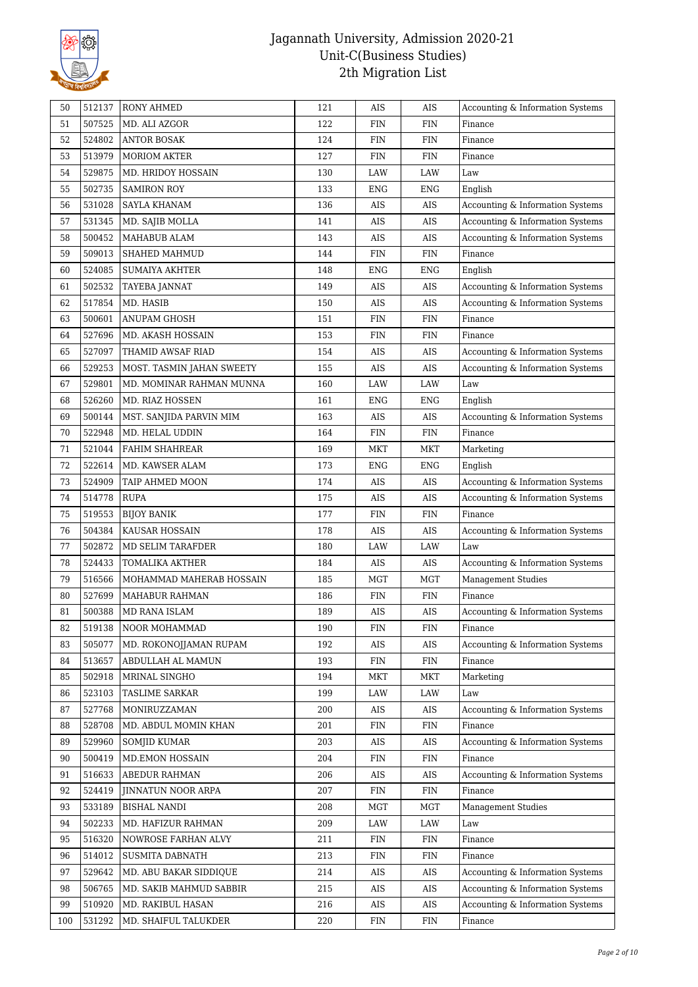

| 50  | 512137 | <b>RONY AHMED</b>         | 121 | AIS         | AIS        | Accounting & Information Systems |
|-----|--------|---------------------------|-----|-------------|------------|----------------------------------|
| 51  | 507525 | MD. ALI AZGOR             | 122 | <b>FIN</b>  | FIN        | Finance                          |
| 52  | 524802 | <b>ANTOR BOSAK</b>        | 124 | <b>FIN</b>  | <b>FIN</b> | Finance                          |
| 53  | 513979 | <b>MORIOM AKTER</b>       | 127 | <b>FIN</b>  | <b>FIN</b> | Finance                          |
| 54  | 529875 | MD. HRIDOY HOSSAIN        | 130 | LAW         | LAW        | Law                              |
| 55  | 502735 | <b>SAMIRON ROY</b>        | 133 | <b>ENG</b>  | <b>ENG</b> | English                          |
| 56  | 531028 | SAYLA KHANAM              | 136 | AIS         | AIS        | Accounting & Information Systems |
| 57  | 531345 | MD. SAJIB MOLLA           | 141 | AIS         | AIS        | Accounting & Information Systems |
| 58  | 500452 | MAHABUB ALAM              | 143 | AIS         | AIS        | Accounting & Information Systems |
| 59  | 509013 | SHAHED MAHMUD             | 144 | <b>FIN</b>  | <b>FIN</b> | Finance                          |
| 60  | 524085 | SUMAIYA AKHTER            | 148 | <b>ENG</b>  | <b>ENG</b> | English                          |
| 61  | 502532 | TAYEBA JANNAT             | 149 | AIS         | AIS        | Accounting & Information Systems |
| 62  | 517854 | MD. HASIB                 | 150 | AIS         | AIS        | Accounting & Information Systems |
| 63  | 500601 | ANUPAM GHOSH              | 151 | <b>FIN</b>  | <b>FIN</b> | Finance                          |
| 64  | 527696 | MD. AKASH HOSSAIN         | 153 | <b>FIN</b>  | <b>FIN</b> | Finance                          |
| 65  | 527097 | THAMID AWSAF RIAD         | 154 | AIS         | AIS        | Accounting & Information Systems |
| 66  | 529253 | MOST. TASMIN JAHAN SWEETY | 155 | AIS         | AIS        | Accounting & Information Systems |
| 67  | 529801 | MD. MOMINAR RAHMAN MUNNA  | 160 | LAW         | LAW        | Law                              |
| 68  | 526260 | MD. RIAZ HOSSEN           | 161 | ENG         | ENG        | English                          |
| 69  | 500144 | MST. SANJIDA PARVIN MIM   | 163 | AIS         | AIS        | Accounting & Information Systems |
| 70  | 522948 | MD. HELAL UDDIN           | 164 | <b>FIN</b>  | <b>FIN</b> | Finance                          |
| 71  | 521044 | FAHIM SHAHREAR            | 169 | <b>MKT</b>  | <b>MKT</b> | Marketing                        |
| 72  | 522614 | MD. KAWSER ALAM           | 173 | ENG         | ENG        | English                          |
| 73  | 524909 | TAIP AHMED MOON           | 174 | AIS         | AIS        | Accounting & Information Systems |
| 74  | 514778 | <b>RUPA</b>               | 175 | AIS         | AIS        | Accounting & Information Systems |
| 75  | 519553 | <b>BIJOY BANIK</b>        | 177 | <b>FIN</b>  | <b>FIN</b> | Finance                          |
| 76  | 504384 | KAUSAR HOSSAIN            | 178 | AIS         | AIS        | Accounting & Information Systems |
| 77  | 502872 | MD SELIM TARAFDER         | 180 | LAW         | LAW        | Law                              |
| 78  | 524433 | TOMALIKA AKTHER           | 184 | AIS         | AIS        | Accounting & Information Systems |
| 79  | 516566 | MOHAMMAD MAHERAB HOSSAIN  | 185 | <b>MGT</b>  | <b>MGT</b> | <b>Management Studies</b>        |
| 80  | 527699 | MAHABUR RAHMAN            | 186 | FIN         | <b>FIN</b> | Finance                          |
| 81  | 500388 | MD RANA ISLAM             | 189 | AIS         | AIS        | Accounting & Information Systems |
| 82  | 519138 | NOOR MOHAMMAD             | 190 | <b>FIN</b>  | <b>FIN</b> | Finance                          |
| 83  | 505077 | MD. ROKONOJJAMAN RUPAM    | 192 | AIS         | AIS        | Accounting & Information Systems |
| 84  | 513657 | ABDULLAH AL MAMUN         | 193 | <b>FIN</b>  | FIN        | Finance                          |
| 85  | 502918 | MRINAL SINGHO             | 194 | <b>MKT</b>  | MKT        | Marketing                        |
| 86  | 523103 | TASLIME SARKAR            | 199 | LAW         | LAW        | Law                              |
| 87  | 527768 | MONIRUZZAMAN              | 200 | AIS         | AIS        | Accounting & Information Systems |
| 88  | 528708 | MD. ABDUL MOMIN KHAN      | 201 | FIN         | FIN        | Finance                          |
| 89  | 529960 | <b>SOMJID KUMAR</b>       | 203 | AIS         | AIS        | Accounting & Information Systems |
| 90  | 500419 | <b>MD.EMON HOSSAIN</b>    | 204 | <b>FIN</b>  | FIN        | Finance                          |
| 91  | 516633 | ABEDUR RAHMAN             | 206 | AIS         | AIS        | Accounting & Information Systems |
| 92  | 524419 | JINNATUN NOOR ARPA        | 207 | ${\rm FIN}$ | FIN        | Finance                          |
| 93  | 533189 | BISHAL NANDI              | 208 | MGT         | <b>MGT</b> | Management Studies               |
| 94  | 502233 | MD. HAFIZUR RAHMAN        | 209 | LAW         | LAW        | Law                              |
| 95  | 516320 | NOWROSE FARHAN ALVY       | 211 | FIN         | FIN        | Finance                          |
| 96  | 514012 | <b>SUSMITA DABNATH</b>    | 213 | <b>FIN</b>  | <b>FIN</b> | Finance                          |
| 97  | 529642 | MD. ABU BAKAR SIDDIQUE    | 214 | AIS         | AIS        | Accounting & Information Systems |
| 98  | 506765 | MD. SAKIB MAHMUD SABBIR   | 215 | AIS         | AIS        | Accounting & Information Systems |
| 99  | 510920 | MD. RAKIBUL HASAN         | 216 | AIS         | AIS        | Accounting & Information Systems |
| 100 | 531292 | MD. SHAIFUL TALUKDER      | 220 | FIN         | FIN        | Finance                          |
|     |        |                           |     |             |            |                                  |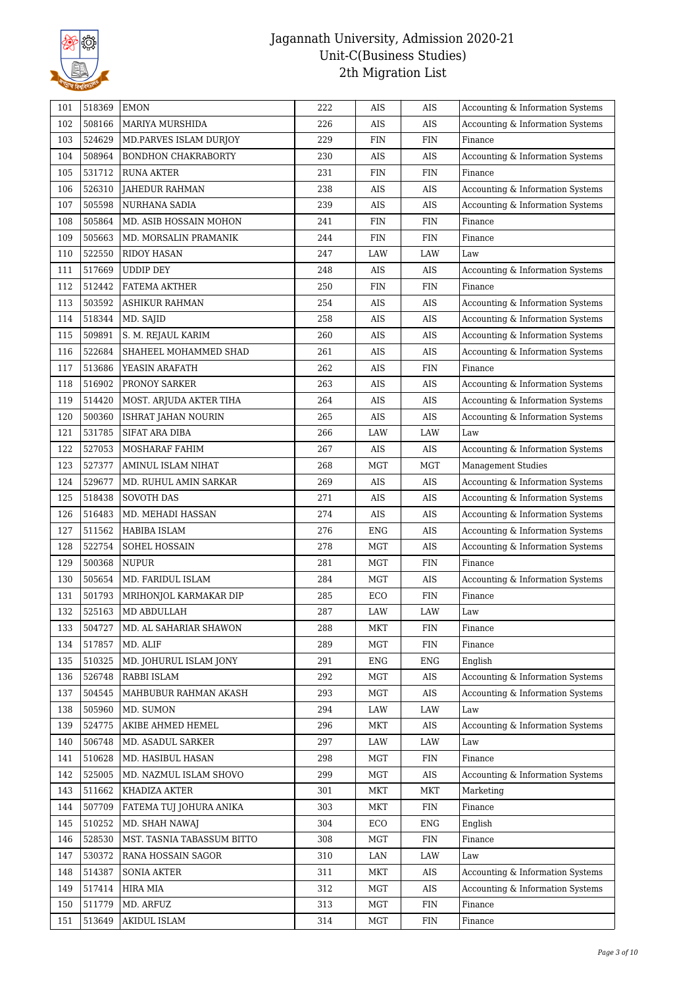

| 101        | 518369 | <b>EMON</b>                       | 222 | AIS        | AIS        | Accounting & Information Systems            |
|------------|--------|-----------------------------------|-----|------------|------------|---------------------------------------------|
| 102        | 508166 | MARIYA MURSHIDA                   | 226 | AIS        | AIS        | Accounting & Information Systems            |
| 103        | 524629 | MD.PARVES ISLAM DURJOY            | 229 | <b>FIN</b> | <b>FIN</b> | Finance                                     |
| 104        | 508964 | <b>BONDHON CHAKRABORTY</b>        | 230 | AIS        | AIS        | Accounting & Information Systems            |
| 105        | 531712 | <b>RUNA AKTER</b>                 | 231 | <b>FIN</b> | FIN        | Finance                                     |
| 106        | 526310 | JAHEDUR RAHMAN                    | 238 | AIS        | AIS        | Accounting & Information Systems            |
| 107        | 505598 | NURHANA SADIA                     | 239 | AIS        | AIS        | Accounting & Information Systems            |
| 108        | 505864 | MD. ASIB HOSSAIN MOHON            | 241 | FIN        | FIN        | Finance                                     |
| 109        | 505663 | MD. MORSALIN PRAMANIK             | 244 | <b>FIN</b> | <b>FIN</b> | Finance                                     |
| 110        | 522550 | <b>RIDOY HASAN</b>                | 247 | LAW        | LAW        | Law                                         |
| 111        | 517669 | <b>UDDIP DEY</b>                  | 248 | AIS        | AIS        | Accounting & Information Systems            |
| 112        | 512442 | FATEMA AKTHER                     | 250 | <b>FIN</b> | FIN        | Finance                                     |
| 113        | 503592 | ASHIKUR RAHMAN                    | 254 | AIS        | AIS        | Accounting & Information Systems            |
| 114        | 518344 | MD. SAJID                         | 258 | AIS        | AIS        | Accounting & Information Systems            |
| 115        | 509891 | S. M. REJAUL KARIM                | 260 | AIS        | AIS        | Accounting & Information Systems            |
| 116        | 522684 | SHAHEEL MOHAMMED SHAD             | 261 | AIS        | AIS        | Accounting & Information Systems            |
| 117        | 513686 | YEASIN ARAFATH                    | 262 | AIS        | <b>FIN</b> | Finance                                     |
| 118        | 516902 | PRONOY SARKER                     | 263 | AIS        | AIS        | Accounting & Information Systems            |
| 119        | 514420 | MOST. ARJUDA AKTER TIHA           | 264 | AIS        | AIS        | Accounting & Information Systems            |
| 120        | 500360 | ISHRAT JAHAN NOURIN               | 265 | AIS        | AIS        | Accounting & Information Systems            |
| 121        | 531785 | SIFAT ARA DIBA                    | 266 | LAW        | LAW        | Law                                         |
| 122        | 527053 | MOSHARAF FAHIM                    | 267 | AIS        | AIS        | Accounting & Information Systems            |
| 123        | 527377 | AMINUL ISLAM NIHAT                | 268 | MGT        | MGT        | <b>Management Studies</b>                   |
| 124        | 529677 | MD. RUHUL AMIN SARKAR             | 269 | AIS        | AIS        | Accounting & Information Systems            |
| 125        | 518438 | <b>SOVOTH DAS</b>                 | 271 | AIS        | AIS        | Accounting & Information Systems            |
|            | 516483 |                                   | 274 | AIS        |            |                                             |
| 126<br>127 | 511562 | MD. MEHADI HASSAN                 | 276 | <b>ENG</b> | AIS<br>AIS | Accounting & Information Systems            |
| 128        | 522754 | HABIBA ISLAM                      | 278 | <b>MGT</b> | AIS        | Accounting & Information Systems            |
| 129        | 500368 | SOHEL HOSSAIN                     | 281 | <b>MGT</b> | <b>FIN</b> | Accounting & Information Systems<br>Finance |
| 130        | 505654 | <b>NUPUR</b><br>MD. FARIDUL ISLAM | 284 |            | AIS        |                                             |
|            |        |                                   |     | MGT        |            | Accounting & Information Systems            |
| 131        | 501793 | MRIHONJOL KARMAKAR DIP            | 285 | ECO        | FIN        | Finance                                     |
| 132        | 525163 | MD ABDULLAH                       | 287 | LAW        | LAW        | Law                                         |
| 133        | 504727 | MD. AL SAHARIAR SHAWON            | 288 | MKT        | <b>FIN</b> | Finance                                     |
| 134        | 517857 | MD. ALIF                          | 289 | <b>MGT</b> | <b>FIN</b> | Finance                                     |
| 135        | 510325 | MD. JOHURUL ISLAM JONY            | 291 | ENG        | <b>ENG</b> | English                                     |
| 136        | 526748 | RABBI ISLAM                       | 292 | <b>MGT</b> | AIS        | Accounting & Information Systems            |
| 137        | 504545 | MAHBUBUR RAHMAN AKASH             | 293 | MGT        | $\rm{AIS}$ | Accounting & Information Systems            |
| 138        | 505960 | MD. SUMON                         | 294 | LAW        | LAW        | Law                                         |
| 139        | 524775 | AKIBE AHMED HEMEL                 | 296 | MKT        | AIS        | Accounting & Information Systems            |
| 140        | 506748 | MD. ASADUL SARKER                 | 297 | LAW        | LAW        | Law                                         |
| 141        | 510628 | MD. HASIBUL HASAN                 | 298 | <b>MGT</b> | FIN        | Finance                                     |
| 142        | 525005 | MD. NAZMUL ISLAM SHOVO            | 299 | MGT        | AIS        | Accounting & Information Systems            |
| 143        | 511662 | KHADIZA AKTER                     | 301 | MKT        | MKT        | Marketing                                   |
| 144        | 507709 | FATEMA TUJ JOHURA ANIKA           | 303 | MKT        | FIN        | Finance                                     |
| 145        | 510252 | MD. SHAH NAWAJ                    | 304 | ECO        | ENG        | English                                     |
| 146        | 528530 | MST. TASNIA TABASSUM BITTO        | 308 | MGT        | FIN        | Finance                                     |
| 147        | 530372 | RANA HOSSAIN SAGOR                | 310 | LAN        | LAW        | Law                                         |
| 148        | 514387 | <b>SONIA AKTER</b>                | 311 | MKT        | AIS        | Accounting & Information Systems            |
| 149        | 517414 | HIRA MIA                          | 312 | MGT        | AIS        | Accounting & Information Systems            |
| 150        | 511779 | MD. ARFUZ                         | 313 | MGT        | FIN        | Finance                                     |
| 151        | 513649 | AKIDUL ISLAM                      | 314 | MGT        | FIN        | Finance                                     |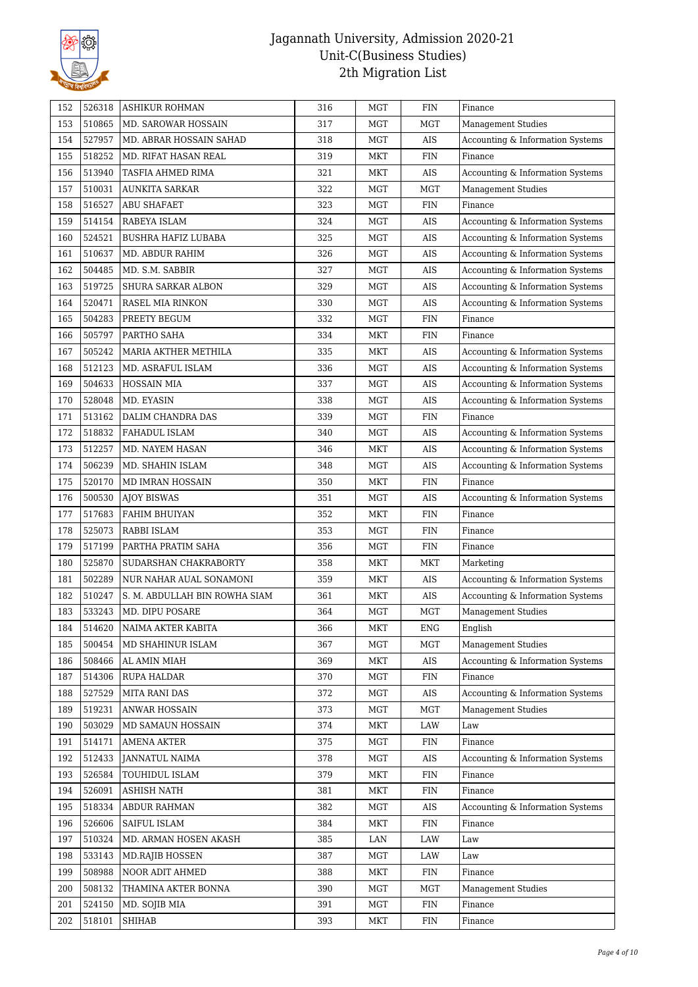

| 152 | 526318 | <b>ASHIKUR ROHMAN</b>         | 316 | <b>MGT</b> | FIN         | Finance                          |
|-----|--------|-------------------------------|-----|------------|-------------|----------------------------------|
| 153 | 510865 | MD. SAROWAR HOSSAIN           | 317 | MGT        | <b>MGT</b>  | <b>Management Studies</b>        |
| 154 | 527957 | MD. ABRAR HOSSAIN SAHAD       | 318 | <b>MGT</b> | AIS         | Accounting & Information Systems |
| 155 | 518252 | MD. RIFAT HASAN REAL          | 319 | <b>MKT</b> | <b>FIN</b>  | Finance                          |
| 156 | 513940 | TASFIA AHMED RIMA             | 321 | <b>MKT</b> | AIS         | Accounting & Information Systems |
| 157 | 510031 | AUNKITA SARKAR                | 322 | MGT        | MGT         | <b>Management Studies</b>        |
| 158 | 516527 | <b>ABU SHAFAET</b>            | 323 | <b>MGT</b> | <b>FIN</b>  | Finance                          |
| 159 | 514154 | RABEYA ISLAM                  | 324 | <b>MGT</b> | AIS         | Accounting & Information Systems |
| 160 | 524521 | <b>BUSHRA HAFIZ LUBABA</b>    | 325 | <b>MGT</b> | AIS         | Accounting & Information Systems |
| 161 | 510637 | MD. ABDUR RAHIM               | 326 | MGT        | AIS         | Accounting & Information Systems |
| 162 | 504485 | MD. S.M. SABBIR               | 327 | <b>MGT</b> | AIS         | Accounting & Information Systems |
| 163 | 519725 | SHURA SARKAR ALBON            | 329 | <b>MGT</b> | AIS         | Accounting & Information Systems |
| 164 | 520471 | RASEL MIA RINKON              | 330 | MGT        | AIS         | Accounting & Information Systems |
| 165 | 504283 | PREETY BEGUM                  | 332 | <b>MGT</b> | <b>FIN</b>  | Finance                          |
| 166 | 505797 | PARTHO SAHA                   | 334 | <b>MKT</b> | <b>FIN</b>  | Finance                          |
| 167 | 505242 | MARIA AKTHER METHILA          | 335 | MKT        | AIS         | Accounting & Information Systems |
| 168 | 512123 | MD. ASRAFUL ISLAM             | 336 | <b>MGT</b> | AIS         | Accounting & Information Systems |
| 169 | 504633 | <b>HOSSAIN MIA</b>            | 337 | <b>MGT</b> | AIS         | Accounting & Information Systems |
| 170 | 528048 | MD. EYASIN                    | 338 | <b>MGT</b> | AIS         | Accounting & Information Systems |
| 171 | 513162 | DALIM CHANDRA DAS             | 339 | <b>MGT</b> | <b>FIN</b>  | Finance                          |
| 172 | 518832 | FAHADUL ISLAM                 | 340 | <b>MGT</b> | AIS         | Accounting & Information Systems |
| 173 | 512257 | MD. NAYEM HASAN               | 346 | MKT        | AIS         | Accounting & Information Systems |
| 174 | 506239 | MD. SHAHIN ISLAM              | 348 | <b>MGT</b> | AIS         | Accounting & Information Systems |
| 175 | 520170 | MD IMRAN HOSSAIN              | 350 | <b>MKT</b> | <b>FIN</b>  | Finance                          |
| 176 | 500530 | <b>AJOY BISWAS</b>            | 351 | <b>MGT</b> | AIS         | Accounting & Information Systems |
| 177 | 517683 | FAHIM BHUIYAN                 | 352 | <b>MKT</b> | FIN         | Finance                          |
| 178 | 525073 | RABBI ISLAM                   | 353 | <b>MGT</b> | <b>FIN</b>  | Finance                          |
| 179 | 517199 | PARTHA PRATIM SAHA            | 356 | <b>MGT</b> | <b>FIN</b>  | Finance                          |
| 180 | 525870 | SUDARSHAN CHAKRABORTY         | 358 | MKT        | MKT         | Marketing                        |
| 181 | 502289 | NUR NAHAR AUAL SONAMONI       | 359 | <b>MKT</b> | AIS         | Accounting & Information Systems |
| 182 | 510247 | S. M. ABDULLAH BIN ROWHA SIAM | 361 | MKT        | AIS         | Accounting & Information Systems |
| 183 | 533243 | MD. DIPU POSARE               | 364 | <b>MGT</b> | MGT         | Management Studies               |
| 184 | 514620 | NAIMA AKTER KABITA            | 366 | MKT        | ENG         | English                          |
| 185 | 500454 | MD SHAHINUR ISLAM             | 367 | <b>MGT</b> | MGT         | <b>Management Studies</b>        |
| 186 | 508466 | AL AMIN MIAH                  | 369 | MKT        | AIS         | Accounting & Information Systems |
| 187 | 514306 | RUPA HALDAR                   | 370 | MGT        | FIN         | Finance                          |
| 188 | 527529 | <b>MITA RANI DAS</b>          | 372 | <b>MGT</b> | AIS         | Accounting & Information Systems |
| 189 | 519231 | ANWAR HOSSAIN                 | 373 | MGT        | MGT         | Management Studies               |
| 190 | 503029 | MD SAMAUN HOSSAIN             | 374 | MKT        | LAW         | Law                              |
| 191 | 514171 | <b>AMENA AKTER</b>            | 375 | <b>MGT</b> | FIN         | Finance                          |
| 192 | 512433 | <b>JANNATUL NAIMA</b>         | 378 | <b>MGT</b> | AIS         | Accounting & Information Systems |
| 193 | 526584 | TOUHIDUL ISLAM                | 379 | MKT        | FIN         | Finance                          |
| 194 | 526091 | <b>ASHISH NATH</b>            | 381 | MKT        | FIN         | Finance                          |
| 195 | 518334 | ABDUR RAHMAN                  | 382 | MGT        | AIS         | Accounting & Information Systems |
| 196 | 526606 | SAIFUL ISLAM                  | 384 | <b>MKT</b> | FIN         | Finance                          |
| 197 | 510324 | MD. ARMAN HOSEN AKASH         | 385 | LAN        | LAW         | Law                              |
| 198 | 533143 | <b>MD.RAJIB HOSSEN</b>        | 387 | <b>MGT</b> | LAW         | Law                              |
| 199 | 508988 | NOOR ADIT AHMED               | 388 | MKT        | FIN         | Finance                          |
| 200 | 508132 | THAMINA AKTER BONNA           | 390 | MGT        | MGT         | <b>Management Studies</b>        |
| 201 | 524150 | MD. SOJIB MIA                 | 391 | <b>MGT</b> | FIN         | Finance                          |
| 202 | 518101 | SHIHAB                        | 393 | MKT        | ${\rm FIN}$ | Finance                          |
|     |        |                               |     |            |             |                                  |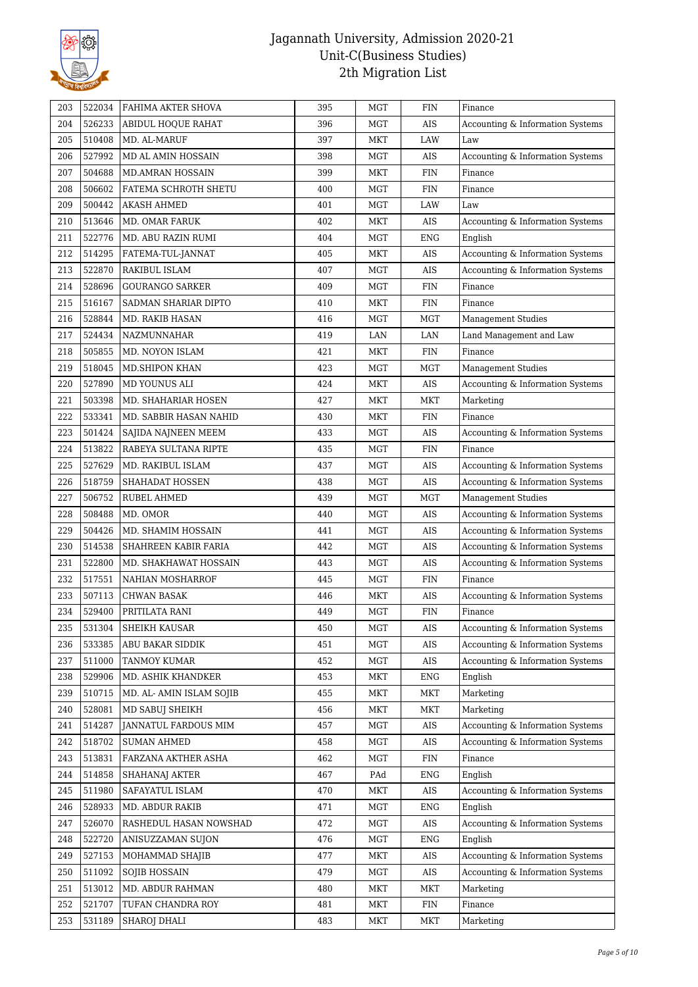

| 203 | 522034           | FAHIMA AKTER SHOVA       | 395 | <b>MGT</b> | FIN        | Finance                          |
|-----|------------------|--------------------------|-----|------------|------------|----------------------------------|
| 204 | 526233           | ABIDUL HOQUE RAHAT       | 396 | <b>MGT</b> | AIS        | Accounting & Information Systems |
| 205 | 510408           | MD. AL-MARUF             | 397 | <b>MKT</b> | LAW        | Law                              |
| 206 | 527992           | MD AL AMIN HOSSAIN       | 398 | <b>MGT</b> | AIS        | Accounting & Information Systems |
| 207 | 504688           | <b>MD.AMRAN HOSSAIN</b>  | 399 | <b>MKT</b> | <b>FIN</b> | Finance                          |
| 208 | 506602           | FATEMA SCHROTH SHETU     | 400 | <b>MGT</b> | <b>FIN</b> | Finance                          |
| 209 | 500442           | AKASH AHMED              | 401 | <b>MGT</b> | LAW        | Law                              |
| 210 | 513646           | MD. OMAR FARUK           | 402 | MKT        | AIS        | Accounting & Information Systems |
| 211 | 522776           | MD. ABU RAZIN RUMI       | 404 | <b>MGT</b> | <b>ENG</b> | English                          |
| 212 | 514295           | FATEMA-TUL-JANNAT        | 405 | MKT        | AIS        | Accounting & Information Systems |
| 213 | 522870           | RAKIBUL ISLAM            | 407 | <b>MGT</b> | AIS        | Accounting & Information Systems |
| 214 | 528696           | <b>GOURANGO SARKER</b>   | 409 | <b>MGT</b> | <b>FIN</b> | Finance                          |
| 215 | 516167           | SADMAN SHARIAR DIPTO     | 410 | MKT        | <b>FIN</b> | Finance                          |
| 216 | 528844           | MD. RAKIB HASAN          | 416 | <b>MGT</b> | MGT        | Management Studies               |
| 217 | 524434           | NAZMUNNAHAR              | 419 | LAN        | LAN        | Land Management and Law          |
| 218 | 505855           | MD. NOYON ISLAM          | 421 | MKT        | <b>FIN</b> | Finance                          |
| 219 | 518045           | <b>MD.SHIPON KHAN</b>    | 423 | <b>MGT</b> | <b>MGT</b> | <b>Management Studies</b>        |
| 220 | 527890           | MD YOUNUS ALI            | 424 | MKT        | AIS        | Accounting & Information Systems |
| 221 | 503398           | MD. SHAHARIAR HOSEN      | 427 | MKT        | <b>MKT</b> | Marketing                        |
| 222 | 533341           | MD. SABBIR HASAN NAHID   | 430 | <b>MKT</b> | <b>FIN</b> | Finance                          |
| 223 | 501424           | SAJIDA NAJNEEN MEEM      | 433 | <b>MGT</b> | AIS        | Accounting & Information Systems |
| 224 | 513822           | RABEYA SULTANA RIPTE     | 435 | MGT        | <b>FIN</b> | Finance                          |
| 225 | 527629           | MD. RAKIBUL ISLAM        | 437 | <b>MGT</b> | AIS        | Accounting & Information Systems |
| 226 | 518759           | SHAHADAT HOSSEN          | 438 | <b>MGT</b> | AIS        |                                  |
|     |                  |                          |     |            |            | Accounting & Information Systems |
| 227 | 506752           | RUBEL AHMED              | 439 | <b>MGT</b> | <b>MGT</b> | <b>Management Studies</b>        |
| 228 | 508488           | MD. OMOR                 | 440 | <b>MGT</b> | AIS        | Accounting & Information Systems |
| 229 | 504426           | MD. SHAMIM HOSSAIN       | 441 | <b>MGT</b> | AIS        | Accounting & Information Systems |
| 230 | 514538<br>522800 | SHAHREEN KABIR FARIA     | 442 | <b>MGT</b> | AIS        | Accounting & Information Systems |
| 231 |                  | MD. SHAKHAWAT HOSSAIN    | 443 | MGT        | AIS        | Accounting & Information Systems |
| 232 | 517551           | NAHIAN MOSHARROF         | 445 | <b>MGT</b> | <b>FIN</b> | Finance                          |
| 233 | 507113           | CHWAN BASAK              | 446 | MKT        | AIS        | Accounting & Information Systems |
| 234 | 529400           | PRITILATA RANI           | 449 | <b>MGT</b> | <b>FIN</b> | Finance                          |
| 235 | 531304           | SHEIKH KAUSAR            | 450 | MGT        | AIS        | Accounting & Information Systems |
| 236 | 533385           | ABU BAKAR SIDDIK         | 451 | <b>MGT</b> | AIS        | Accounting & Information Systems |
| 237 | 511000           | TANMOY KUMAR             | 452 | MGT        | AIS        | Accounting & Information Systems |
| 238 | 529906           | MD. ASHIK KHANDKER       | 453 | MKT        | <b>ENG</b> | English                          |
| 239 | 510715           | MD. AL- AMIN ISLAM SOJIB | 455 | MKT        | MKT        | Marketing                        |
| 240 | 528081           | MD SABUJ SHEIKH          | 456 | MKT        | MKT        | Marketing                        |
| 241 | 514287           | JANNATUL FARDOUS MIM     | 457 | <b>MGT</b> | AIS        | Accounting & Information Systems |
| 242 | 518702           | <b>SUMAN AHMED</b>       | 458 | <b>MGT</b> | AIS        | Accounting & Information Systems |
| 243 | 513831           | FARZANA AKTHER ASHA      | 462 | <b>MGT</b> | <b>FIN</b> | Finance                          |
| 244 | 514858           | <b>SHAHANAJ AKTER</b>    | 467 | PAd        | <b>ENG</b> | English                          |
| 245 | 511980           | SAFAYATUL ISLAM          | 470 | MKT        | AIS        | Accounting & Information Systems |
| 246 | 528933           | MD. ABDUR RAKIB          | 471 | MGT        | ENG        | English                          |
| 247 | 526070           | RASHEDUL HASAN NOWSHAD   | 472 | MGT        | AIS        | Accounting & Information Systems |
| 248 | 522720           | ANISUZZAMAN SUJON        | 476 | <b>MGT</b> | <b>ENG</b> | English                          |
| 249 | 527153           | MOHAMMAD SHAJIB          | 477 | <b>MKT</b> | AIS        | Accounting & Information Systems |
| 250 | 511092           | SOJIB HOSSAIN            | 479 | MGT        | AIS        | Accounting & Information Systems |
| 251 | 513012           | MD. ABDUR RAHMAN         | 480 | MKT        | MKT        | Marketing                        |
| 252 | 521707           | TUFAN CHANDRA ROY        | 481 | <b>MKT</b> | FIN        | Finance                          |
| 253 | 531189           | SHAROJ DHALI             | 483 | MKT        | MKT        | Marketing                        |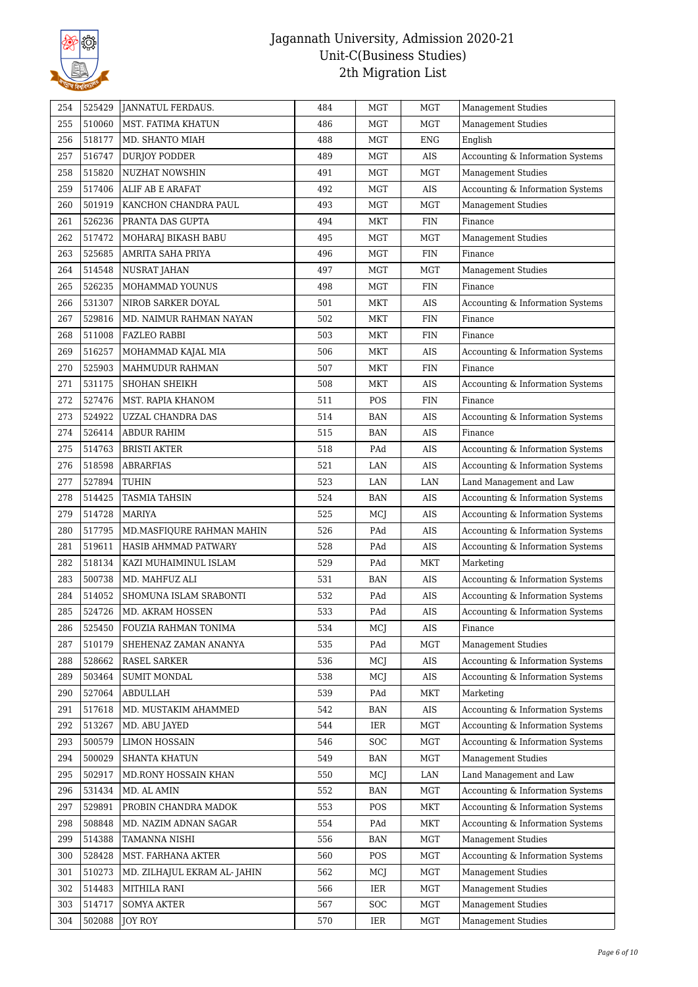

| 254 | 525429 | JANNATUL FERDAUS.            | 484 | <b>MGT</b> | MGT        | <b>Management Studies</b>        |
|-----|--------|------------------------------|-----|------------|------------|----------------------------------|
| 255 | 510060 | MST. FATIMA KHATUN           | 486 | <b>MGT</b> | MGT        | <b>Management Studies</b>        |
| 256 | 518177 | MD. SHANTO MIAH              | 488 | <b>MGT</b> | <b>ENG</b> | English                          |
| 257 | 516747 | DURJOY PODDER                | 489 | <b>MGT</b> | AIS        | Accounting & Information Systems |
| 258 | 515820 | <b>NUZHAT NOWSHIN</b>        | 491 | <b>MGT</b> | MGT        | <b>Management Studies</b>        |
| 259 | 517406 | ALIF AB E ARAFAT             | 492 | <b>MGT</b> | AIS        | Accounting & Information Systems |
| 260 | 501919 | KANCHON CHANDRA PAUL         | 493 | <b>MGT</b> | MGT        | Management Studies               |
| 261 | 526236 | PRANTA DAS GUPTA             | 494 | <b>MKT</b> | <b>FIN</b> | Finance                          |
| 262 | 517472 | MOHARAJ BIKASH BABU          | 495 | <b>MGT</b> | MGT        | <b>Management Studies</b>        |
| 263 | 525685 | AMRITA SAHA PRIYA            | 496 | <b>MGT</b> | <b>FIN</b> | Finance                          |
| 264 | 514548 | NUSRAT JAHAN                 | 497 | <b>MGT</b> | MGT        | <b>Management Studies</b>        |
| 265 | 526235 | MOHAMMAD YOUNUS              | 498 | <b>MGT</b> | <b>FIN</b> | Finance                          |
| 266 | 531307 | NIROB SARKER DOYAL           | 501 | MKT        | AIS        | Accounting & Information Systems |
| 267 | 529816 | MD. NAIMUR RAHMAN NAYAN      | 502 | <b>MKT</b> | <b>FIN</b> | Finance                          |
| 268 | 511008 | FAZLEO RABBI                 | 503 | <b>MKT</b> | <b>FIN</b> | Finance                          |
| 269 | 516257 | MOHAMMAD KAJAL MIA           | 506 | MKT        | AIS        | Accounting & Information Systems |
| 270 | 525903 | MAHMUDUR RAHMAN              | 507 | <b>MKT</b> | FIN        | Finance                          |
| 271 | 531175 | SHOHAN SHEIKH                | 508 | <b>MKT</b> | AIS        | Accounting & Information Systems |
| 272 | 527476 | MST. RAPIA KHANOM            | 511 | POS        | <b>FIN</b> | Finance                          |
| 273 | 524922 | UZZAL CHANDRA DAS            | 514 | BAN        | AIS        | Accounting & Information Systems |
| 274 | 526414 | <b>ABDUR RAHIM</b>           | 515 | BAN        | AIS        | Finance                          |
| 275 | 514763 | <b>BRISTI AKTER</b>          | 518 | PAd        | AIS        | Accounting & Information Systems |
| 276 | 518598 | ABRARFIAS                    | 521 | LAN        | AIS        | Accounting & Information Systems |
| 277 | 527894 | TUHIN                        | 523 | LAN        | LAN        | Land Management and Law          |
| 278 | 514425 | <b>TASMIA TAHSIN</b>         | 524 | BAN        | AIS        | Accounting & Information Systems |
| 279 | 514728 | <b>MARIYA</b>                | 525 | MCJ        | AIS        | Accounting & Information Systems |
| 280 | 517795 | MD.MASFIQURE RAHMAN MAHIN    | 526 | PAd        | AIS        | Accounting & Information Systems |
| 281 | 519611 | HASIB AHMMAD PATWARY         | 528 | PAd        | AIS        | Accounting & Information Systems |
| 282 | 518134 | KAZI MUHAIMINUL ISLAM        | 529 | PAd        | MKT        | Marketing                        |
| 283 | 500738 | MD. MAHFUZ ALI               | 531 | BAN        | AIS        | Accounting & Information Systems |
| 284 | 514052 | SHOMUNA ISLAM SRABONTI       | 532 | PAd        | AIS        | Accounting & Information Systems |
| 285 | 524726 | MD. AKRAM HOSSEN             | 533 | PAd        | AIS        | Accounting & Information Systems |
| 286 | 525450 | FOUZIA RAHMAN TONIMA         | 534 | MCJ        | AIS        | Finance                          |
| 287 | 510179 | SHEHENAZ ZAMAN ANANYA        | 535 | PAd        | <b>MGT</b> | <b>Management Studies</b>        |
| 288 | 528662 | RASEL SARKER                 | 536 | MCJ        | AIS        | Accounting & Information Systems |
| 289 | 503464 | <b>SUMIT MONDAL</b>          | 538 | MCJ        | AIS        | Accounting & Information Systems |
| 290 | 527064 | <b>ABDULLAH</b>              | 539 | PAd        | MKT        | Marketing                        |
| 291 | 517618 | MD. MUSTAKIM AHAMMED         | 542 | <b>BAN</b> | AIS        | Accounting & Information Systems |
| 292 | 513267 | MD. ABU JAYED                | 544 | IER        | MGT        | Accounting & Information Systems |
| 293 | 500579 | <b>LIMON HOSSAIN</b>         | 546 | SOC        | MGT        | Accounting & Information Systems |
| 294 | 500029 | <b>SHANTA KHATUN</b>         | 549 | <b>BAN</b> | MGT        | <b>Management Studies</b>        |
| 295 | 502917 | MD.RONY HOSSAIN KHAN         | 550 | MCJ        | LAN        | Land Management and Law          |
| 296 | 531434 | MD. AL AMIN                  | 552 | BAN        | MGT        | Accounting & Information Systems |
| 297 | 529891 | PROBIN CHANDRA MADOK         | 553 | POS        | MKT        | Accounting & Information Systems |
| 298 | 508848 | MD. NAZIM ADNAN SAGAR        | 554 | PAd        | MKT        | Accounting & Information Systems |
| 299 | 514388 | TAMANNA NISHI                | 556 | BAN        | MGT        | <b>Management Studies</b>        |
| 300 | 528428 | MST. FARHANA AKTER           | 560 | POS        | MGT        | Accounting & Information Systems |
| 301 | 510273 | MD. ZILHAJUL EKRAM AL- JAHIN | 562 | MCJ        | <b>MGT</b> | <b>Management Studies</b>        |
| 302 | 514483 | <b>MITHILA RANI</b>          | 566 | IER        | MGT        | Management Studies               |
| 303 | 514717 | <b>SOMYA AKTER</b>           | 567 | SOC        | MGT        | <b>Management Studies</b>        |
| 304 | 502088 | <b>JOY ROY</b>               | 570 | IER        | MGT        | <b>Management Studies</b>        |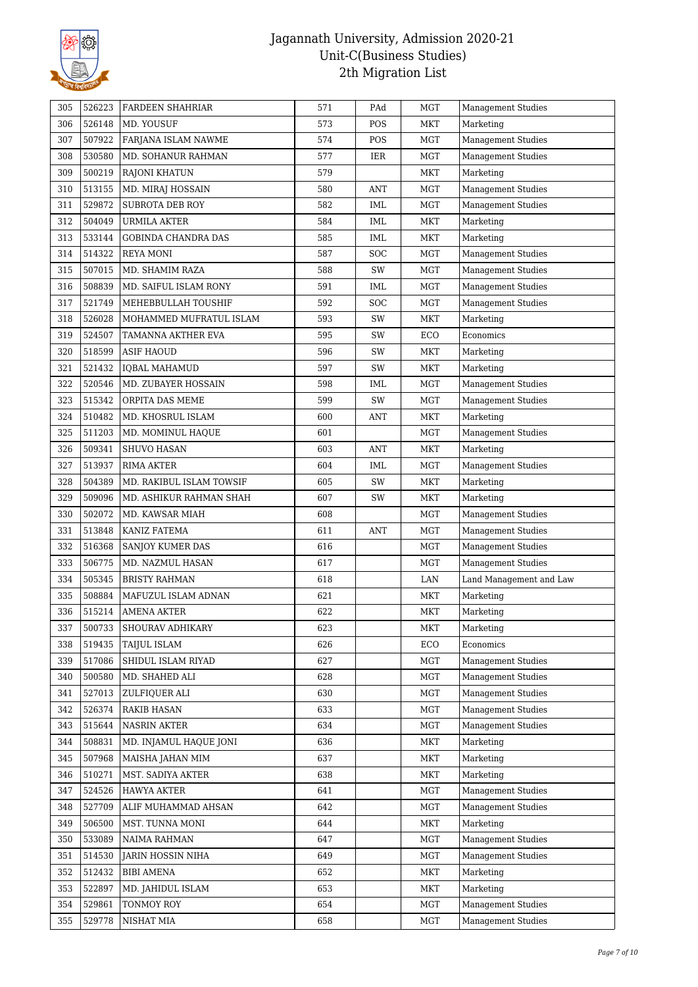

| 305 | 526223 | FARDEEN SHAHRIAR         | 571 | PAd        | MGT        | <b>Management Studies</b> |
|-----|--------|--------------------------|-----|------------|------------|---------------------------|
| 306 | 526148 | MD. YOUSUF               | 573 | POS        | MKT        | Marketing                 |
| 307 | 507922 | FARJANA ISLAM NAWME      | 574 | POS        | <b>MGT</b> | <b>Management Studies</b> |
| 308 | 530580 | MD. SOHANUR RAHMAN       | 577 | IER        | <b>MGT</b> | <b>Management Studies</b> |
| 309 | 500219 | <b>RAJONI KHATUN</b>     | 579 |            | MKT        | Marketing                 |
| 310 | 513155 | MD. MIRAJ HOSSAIN        | 580 | ANT        | MGT        | <b>Management Studies</b> |
| 311 | 529872 | SUBROTA DEB ROY          | 582 | IML        | MGT        | Management Studies        |
| 312 | 504049 | <b>URMILA AKTER</b>      | 584 | IML        | MKT        | Marketing                 |
| 313 | 533144 | GOBINDA CHANDRA DAS      | 585 | IML        | <b>MKT</b> | Marketing                 |
| 314 | 514322 | REYA MONI                | 587 | <b>SOC</b> | MGT        | <b>Management Studies</b> |
| 315 | 507015 | MD. SHAMIM RAZA          | 588 | SW         | MGT        | <b>Management Studies</b> |
| 316 | 508839 | MD. SAIFUL ISLAM RONY    | 591 | IML        | MGT        | Management Studies        |
| 317 | 521749 | MEHEBBULLAH TOUSHIF      | 592 | SOC        | <b>MGT</b> | <b>Management Studies</b> |
| 318 | 526028 | MOHAMMED MUFRATUL ISLAM  | 593 | SW         | MKT        | Marketing                 |
| 319 | 524507 | TAMANNA AKTHER EVA       | 595 | SW         | ECO        | Economics                 |
| 320 | 518599 | <b>ASIF HAOUD</b>        | 596 | SW         | MKT        | Marketing                 |
| 321 | 521432 | <b>IQBAL MAHAMUD</b>     | 597 | SW         | <b>MKT</b> | Marketing                 |
| 322 | 520546 | MD. ZUBAYER HOSSAIN      | 598 | IML        | MGT        | <b>Management Studies</b> |
| 323 | 515342 | ORPITA DAS MEME          | 599 | SW         | <b>MGT</b> | <b>Management Studies</b> |
| 324 | 510482 | MD. KHOSRUL ISLAM        | 600 | ANT        | MKT        | Marketing                 |
| 325 | 511203 | MD. MOMINUL HAQUE        | 601 |            | <b>MGT</b> | <b>Management Studies</b> |
| 326 | 509341 | <b>SHUVO HASAN</b>       | 603 | ANT        | MKT        | Marketing                 |
| 327 | 513937 | <b>RIMA AKTER</b>        | 604 | IML        | MGT        | <b>Management Studies</b> |
| 328 | 504389 | MD. RAKIBUL ISLAM TOWSIF | 605 | SW         | MKT        | Marketing                 |
| 329 | 509096 | MD. ASHIKUR RAHMAN SHAH  | 607 | SW         | <b>MKT</b> | Marketing                 |
| 330 | 502072 | MD. KAWSAR MIAH          | 608 |            | MGT        | <b>Management Studies</b> |
| 331 | 513848 | KANIZ FATEMA             | 611 | <b>ANT</b> | <b>MGT</b> | <b>Management Studies</b> |
| 332 | 516368 | SANJOY KUMER DAS         | 616 |            | <b>MGT</b> | <b>Management Studies</b> |
| 333 | 506775 | MD. NAZMUL HASAN         | 617 |            | MGT        | <b>Management Studies</b> |
| 334 | 505345 | <b>BRISTY RAHMAN</b>     | 618 |            | LAN        | Land Management and Law   |
| 335 | 508884 | MAFUZUL ISLAM ADNAN      | 621 |            | MKT        | Marketing                 |
| 336 | 515214 | AMENA AKTER              | 622 |            | <b>MKT</b> | Marketing                 |
| 337 | 500733 | SHOURAV ADHIKARY         | 623 |            | MKT        | Marketing                 |
| 338 | 519435 | TAIJUL ISLAM             | 626 |            | ECO        | Economics                 |
| 339 | 517086 | SHIDUL ISLAM RIYAD       | 627 |            | <b>MGT</b> | <b>Management Studies</b> |
| 340 | 500580 | MD. SHAHED ALI           | 628 |            | MGT        | <b>Management Studies</b> |
| 341 | 527013 | ZULFIQUER ALI            | 630 |            | MGT        | <b>Management Studies</b> |
| 342 | 526374 | <b>RAKIB HASAN</b>       | 633 |            | <b>MGT</b> | Management Studies        |
| 343 | 515644 | <b>NASRIN AKTER</b>      | 634 |            | <b>MGT</b> | <b>Management Studies</b> |
| 344 | 508831 | MD. INJAMUL HAQUE JONI   | 636 |            | MKT        | Marketing                 |
| 345 | 507968 | MAISHA JAHAN MIM         | 637 |            | MKT        | Marketing                 |
| 346 | 510271 | MST. SADIYA AKTER        | 638 |            | MKT        | Marketing                 |
| 347 | 524526 | <b>HAWYA AKTER</b>       | 641 |            | <b>MGT</b> | <b>Management Studies</b> |
| 348 | 527709 | ALIF MUHAMMAD AHSAN      | 642 |            | <b>MGT</b> | <b>Management Studies</b> |
| 349 | 506500 | MST. TUNNA MONI          | 644 |            | MKT        | Marketing                 |
| 350 | 533089 | NAIMA RAHMAN             | 647 |            | <b>MGT</b> | <b>Management Studies</b> |
| 351 | 514530 | <b>JARIN HOSSIN NIHA</b> | 649 |            | MGT        | <b>Management Studies</b> |
| 352 | 512432 | <b>BIBI AMENA</b>        | 652 |            | MKT        | Marketing                 |
| 353 | 522897 | MD. JAHIDUL ISLAM        | 653 |            | MKT        | Marketing                 |
| 354 | 529861 | TONMOY ROY               | 654 |            | <b>MGT</b> | <b>Management Studies</b> |
| 355 | 529778 | NISHAT MIA               | 658 |            | <b>MGT</b> | <b>Management Studies</b> |
|     |        |                          |     |            |            |                           |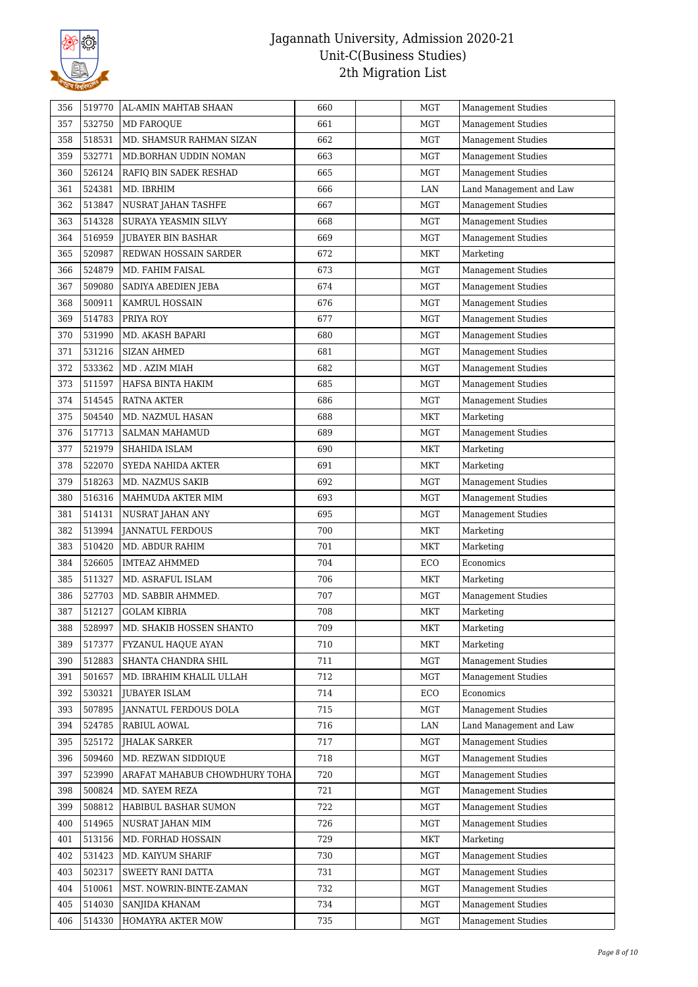

| 356 | 519770 | AL-AMIN MAHTAB SHAAN          | 660 | MGT        | Management Studies        |
|-----|--------|-------------------------------|-----|------------|---------------------------|
| 357 | 532750 | <b>MD FAROQUE</b>             | 661 | <b>MGT</b> | <b>Management Studies</b> |
| 358 | 518531 | MD. SHAMSUR RAHMAN SIZAN      | 662 | <b>MGT</b> | <b>Management Studies</b> |
| 359 | 532771 | MD.BORHAN UDDIN NOMAN         | 663 | MGT        | <b>Management Studies</b> |
| 360 | 526124 | RAFIQ BIN SADEK RESHAD        | 665 | MGT        | <b>Management Studies</b> |
| 361 | 524381 | MD. IBRHIM                    | 666 | LAN        | Land Management and Law   |
| 362 | 513847 | NUSRAT JAHAN TASHFE           | 667 | <b>MGT</b> | Management Studies        |
| 363 | 514328 | SURAYA YEASMIN SILVY          | 668 | <b>MGT</b> | <b>Management Studies</b> |
| 364 | 516959 | <b>JUBAYER BIN BASHAR</b>     | 669 | MGT        | <b>Management Studies</b> |
| 365 | 520987 | REDWAN HOSSAIN SARDER         | 672 | <b>MKT</b> | Marketing                 |
| 366 | 524879 | MD. FAHIM FAISAL              | 673 | <b>MGT</b> | <b>Management Studies</b> |
| 367 | 509080 | SADIYA ABEDIEN JEBA           | 674 | MGT        | <b>Management Studies</b> |
| 368 | 500911 | KAMRUL HOSSAIN                | 676 | MGT        | <b>Management Studies</b> |
| 369 | 514783 | PRIYA ROY                     | 677 | <b>MGT</b> | <b>Management Studies</b> |
| 370 | 531990 | MD. AKASH BAPARI              | 680 | <b>MGT</b> | <b>Management Studies</b> |
| 371 | 531216 | <b>SIZAN AHMED</b>            | 681 | <b>MGT</b> | <b>Management Studies</b> |
| 372 | 533362 | MD. AZIM MIAH                 | 682 | MGT        | <b>Management Studies</b> |
| 373 | 511597 | HAFSA BINTA HAKIM             | 685 | MGT        | <b>Management Studies</b> |
| 374 | 514545 | <b>RATNA AKTER</b>            | 686 | MGT        | <b>Management Studies</b> |
| 375 | 504540 | MD. NAZMUL HASAN              | 688 | MKT        | Marketing                 |
| 376 | 517713 | <b>SALMAN MAHAMUD</b>         | 689 | <b>MGT</b> | Management Studies        |
| 377 | 521979 | SHAHIDA ISLAM                 | 690 | <b>MKT</b> | Marketing                 |
| 378 | 522070 | SYEDA NAHIDA AKTER            | 691 | MKT        | Marketing                 |
| 379 | 518263 | MD. NAZMUS SAKIB              | 692 | MGT        | <b>Management Studies</b> |
| 380 | 516316 | MAHMUDA AKTER MIM             | 693 | MGT        | <b>Management Studies</b> |
| 381 | 514131 | NUSRAT JAHAN ANY              | 695 | <b>MGT</b> | <b>Management Studies</b> |
| 382 | 513994 | <b>JANNATUL FERDOUS</b>       | 700 | <b>MKT</b> | Marketing                 |
| 383 | 510420 | MD. ABDUR RAHIM               | 701 | <b>MKT</b> | Marketing                 |
| 384 | 526605 | <b>IMTEAZ AHMMED</b>          | 704 | ECO        | Economics                 |
| 385 | 511327 | MD. ASRAFUL ISLAM             | 706 | <b>MKT</b> | Marketing                 |
| 386 | 527703 | MD. SABBIR AHMMED.            | 707 | MGT        | <b>Management Studies</b> |
| 387 | 512127 | <b>GOLAM KIBRIA</b>           | 708 | <b>MKT</b> | Marketing                 |
| 388 | 528997 | MD. SHAKIB HOSSEN SHANTO      | 709 | <b>MKT</b> | Marketing                 |
| 389 | 517377 | FYZANUL HAQUE AYAN            | 710 | <b>MKT</b> | Marketing                 |
| 390 | 512883 | SHANTA CHANDRA SHIL           | 711 | <b>MGT</b> | <b>Management Studies</b> |
| 391 | 501657 | MD. IBRAHIM KHALIL ULLAH      | 712 | MGT        | <b>Management Studies</b> |
| 392 | 530321 | <b>JUBAYER ISLAM</b>          | 714 | ECO        | Economics                 |
| 393 | 507895 | JANNATUL FERDOUS DOLA         | 715 | MGT        | <b>Management Studies</b> |
| 394 | 524785 | RABIUL AOWAL                  | 716 | LAN        | Land Management and Law   |
| 395 | 525172 | <b>JHALAK SARKER</b>          | 717 | MGT        | <b>Management Studies</b> |
| 396 | 509460 | MD. REZWAN SIDDIOUE           | 718 | MGT        | <b>Management Studies</b> |
| 397 | 523990 | ARAFAT MAHABUB CHOWDHURY TOHA | 720 | MGT        | <b>Management Studies</b> |
| 398 | 500824 | MD. SAYEM REZA                | 721 | MGT        | <b>Management Studies</b> |
| 399 | 508812 | HABIBUL BASHAR SUMON          | 722 | MGT        | <b>Management Studies</b> |
| 400 | 514965 | NUSRAT JAHAN MIM              | 726 | MGT        | <b>Management Studies</b> |
| 401 | 513156 | MD. FORHAD HOSSAIN            | 729 | MKT        | Marketing                 |
| 402 | 531423 | MD. KAIYUM SHARIF             | 730 | MGT        | <b>Management Studies</b> |
| 403 | 502317 | SWEETY RANI DATTA             | 731 | MGT        | <b>Management Studies</b> |
| 404 | 510061 | MST. NOWRIN-BINTE-ZAMAN       | 732 | MGT        | <b>Management Studies</b> |
| 405 | 514030 | SANJIDA KHANAM                | 734 | MGT        | <b>Management Studies</b> |
| 406 | 514330 | HOMAYRA AKTER MOW             | 735 | MGT        | <b>Management Studies</b> |
|     |        |                               |     |            |                           |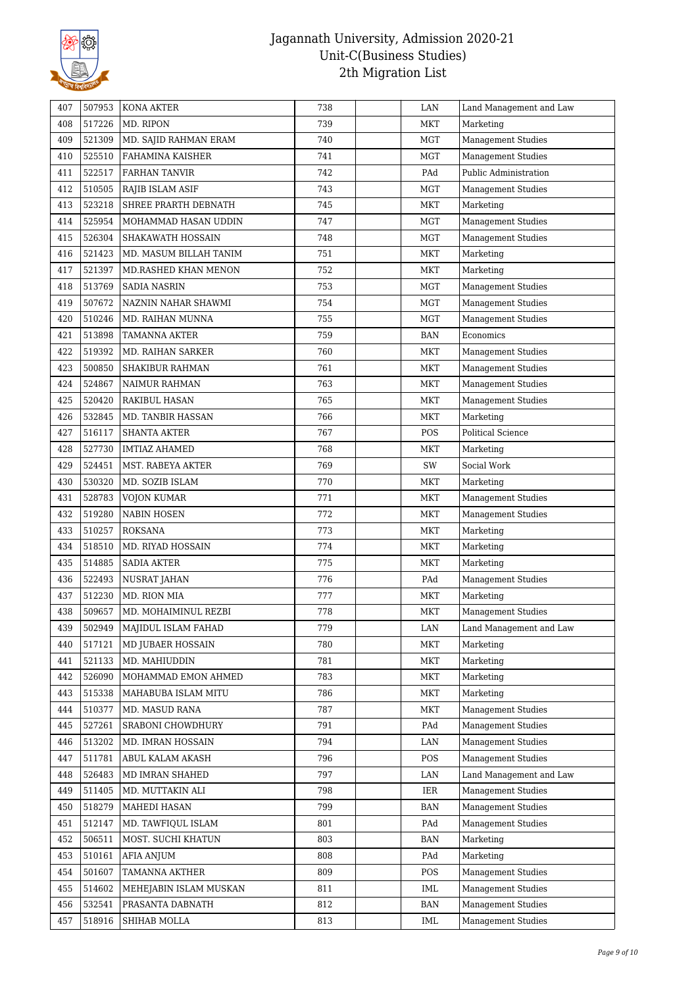

| 407 | 507953 | <b>KONA AKTER</b>       | 738 | LAN        | Land Management and Law   |
|-----|--------|-------------------------|-----|------------|---------------------------|
| 408 | 517226 | MD. RIPON               | 739 | <b>MKT</b> | Marketing                 |
| 409 | 521309 | MD. SAJID RAHMAN ERAM   | 740 | <b>MGT</b> | <b>Management Studies</b> |
| 410 | 525510 | <b>FAHAMINA KAISHER</b> | 741 | MGT        | <b>Management Studies</b> |
| 411 | 522517 | <b>FARHAN TANVIR</b>    | 742 | PAd        | Public Administration     |
| 412 | 510505 | RAJIB ISLAM ASIF        | 743 | MGT        | <b>Management Studies</b> |
| 413 | 523218 | SHREE PRARTH DEBNATH    | 745 | <b>MKT</b> | Marketing                 |
| 414 | 525954 | MOHAMMAD HASAN UDDIN    | 747 | MGT        | <b>Management Studies</b> |
| 415 | 526304 | SHAKAWATH HOSSAIN       | 748 | MGT        | <b>Management Studies</b> |
| 416 | 521423 | MD. MASUM BILLAH TANIM  | 751 | <b>MKT</b> | Marketing                 |
| 417 | 521397 | MD.RASHED KHAN MENON    | 752 | MKT        | Marketing                 |
| 418 | 513769 | <b>SADIA NASRIN</b>     | 753 | MGT        | <b>Management Studies</b> |
| 419 | 507672 | NAZNIN NAHAR SHAWMI     | 754 | <b>MGT</b> | <b>Management Studies</b> |
| 420 | 510246 | MD. RAIHAN MUNNA        | 755 | <b>MGT</b> | <b>Management Studies</b> |
| 421 | 513898 | <b>TAMANNA AKTER</b>    | 759 | <b>BAN</b> | Economics                 |
| 422 | 519392 | MD. RAIHAN SARKER       | 760 | MKT        | <b>Management Studies</b> |
| 423 | 500850 | SHAKIBUR RAHMAN         | 761 | MKT        | <b>Management Studies</b> |
| 424 | 524867 | <b>NAIMUR RAHMAN</b>    | 763 | MKT        | Management Studies        |
| 425 | 520420 | <b>RAKIBUL HASAN</b>    | 765 | MKT        | <b>Management Studies</b> |
| 426 | 532845 | MD. TANBIR HASSAN       | 766 | MKT        | Marketing                 |
| 427 | 516117 | <b>SHANTA AKTER</b>     | 767 | POS        | <b>Political Science</b>  |
| 428 | 527730 | <b>IMTIAZ AHAMED</b>    | 768 | <b>MKT</b> |                           |
| 429 | 524451 |                         | 769 | SW         | Marketing<br>Social Work  |
|     | 530320 | MST. RABEYA AKTER       |     |            |                           |
| 430 |        | MD. SOZIB ISLAM         | 770 | MKT        | Marketing                 |
| 431 | 528783 | <b>VOJON KUMAR</b>      | 771 | MKT        | <b>Management Studies</b> |
| 432 | 519280 | <b>NABIN HOSEN</b>      | 772 | <b>MKT</b> | <b>Management Studies</b> |
| 433 | 510257 | <b>ROKSANA</b>          | 773 | <b>MKT</b> | Marketing                 |
| 434 | 518510 | MD. RIYAD HOSSAIN       | 774 | MKT        | Marketing                 |
| 435 | 514885 | <b>SADIA AKTER</b>      | 775 | <b>MKT</b> | Marketing                 |
| 436 | 522493 | NUSRAT JAHAN            | 776 | PAd        | <b>Management Studies</b> |
| 437 | 512230 | MD. RION MIA            | 777 | MKT        | Marketing                 |
| 438 | 509657 | MD. MOHAIMINUL REZBI    | 778 | <b>MKT</b> | Management Studies        |
| 439 | 502949 | MAJIDUL ISLAM FAHAD     | 779 | LAN        | Land Management and Law   |
| 440 | 517121 | MD JUBAER HOSSAIN       | 780 | <b>MKT</b> | Marketing                 |
| 441 | 521133 | MD. MAHIUDDIN           | 781 | MKT        | Marketing                 |
| 442 | 526090 | MOHAMMAD EMON AHMED     | 783 | MKT        | Marketing                 |
| 443 | 515338 | MAHABUBA ISLAM MITU     | 786 | MKT        | Marketing                 |
| 444 | 510377 | MD. MASUD RANA          | 787 | MKT        | <b>Management Studies</b> |
| 445 | 527261 | SRABONI CHOWDHURY       | 791 | PAd        | <b>Management Studies</b> |
| 446 | 513202 | MD. IMRAN HOSSAIN       | 794 | LAN        | <b>Management Studies</b> |
| 447 | 511781 | ABUL KALAM AKASH        | 796 | POS        | <b>Management Studies</b> |
| 448 | 526483 | MD IMRAN SHAHED         | 797 | LAN        | Land Management and Law   |
| 449 | 511405 | MD. MUTTAKIN ALI        | 798 | IER        | <b>Management Studies</b> |
| 450 | 518279 | MAHEDI HASAN            | 799 | <b>BAN</b> | <b>Management Studies</b> |
| 451 | 512147 | MD. TAWFIQUL ISLAM      | 801 | PAd        | <b>Management Studies</b> |
| 452 | 506511 | MOST. SUCHI KHATUN      | 803 | <b>BAN</b> | Marketing                 |
| 453 | 510161 | <b>AFIA ANJUM</b>       | 808 | PAd        | Marketing                 |
| 454 | 501607 | TAMANNA AKTHER          | 809 | <b>POS</b> | <b>Management Studies</b> |
| 455 | 514602 | MEHEJABIN ISLAM MUSKAN  | 811 | <b>IML</b> | <b>Management Studies</b> |
| 456 | 532541 | PRASANTA DABNATH        | 812 | <b>BAN</b> | <b>Management Studies</b> |
| 457 | 518916 | SHIHAB MOLLA            | 813 | IML        | Management Studies        |
|     |        |                         |     |            |                           |